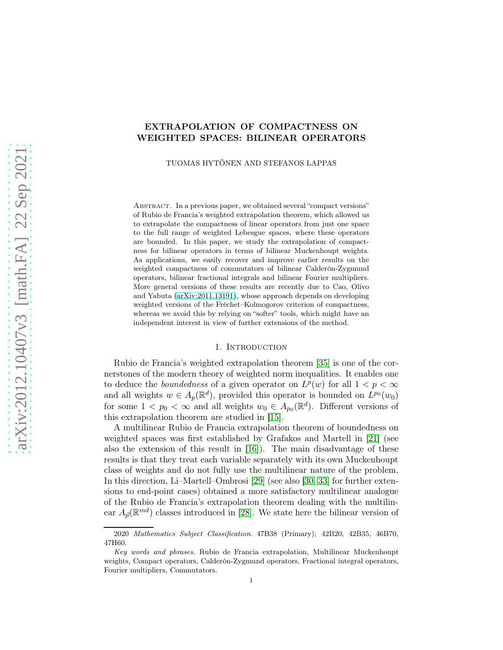## EXTRAPOLATION OF COMPACTNESS ON WEIGHTED SPACES: BILINEAR OPERATORS

TUOMAS HYTÖNEN AND STEFANOS LAPPAS

ABSTRACT. In a previous paper, we obtained several "compact versions" of Rubio de Francia's weighted extrapolation theorem, which allowed us to extrapolate the compactness of linear operators from just one space to the full range of weighted Lebesgue spaces, where these operators are bounded. In this paper, we study the extrapolation of compactness for bilinear operators in terms of bilinear Muckenhoupt weights. As applications, we easily recover and improve earlier results on the weighted compactness of commutators of bilinear Calderón-Zygmund operators, bilinear fractional integrals and bilinear Fourier multipliers. More general versions of these results are recently due to Cao, Olivo and Yabuta [\(arXiv:2011.13191\)](http://arxiv.org/abs/2011.13191), whose approach depends on developing weighted versions of the Fréchet–Kolmogorov criterion of compactness, whereas we avoid this by relying on "softer" tools, which might have an independent interest in view of further extensions of the method.

## 1. INTRODUCTION

Rubio de Francia's weighted extrapolation theorem [\[35\]](#page-25-0) is one of the cornerstones of the modern theory of weighted norm inequalities. It enables one to deduce the *boundedness* of a given operator on  $L^p(w)$  for all  $1 < p < \infty$ and all weights  $w \in A_p(\mathbb{R}^d)$ , provided this operator is bounded on  $L^{p_0}(w_0)$ for some  $1 < p_0 < \infty$  and all weights  $w_0 \in A_{p_0}(\mathbb{R}^d)$ . Different versions of this extrapolation theorem are studied in [\[15\]](#page-24-0).

A multilinear Rubio de Francia extrapolation theorem of boundedness on weighted spaces was first established by Grafakos and Martell in [\[21\]](#page-25-1) (see also the extension of this result in [\[16\]](#page-25-2)). The main disadvantage of these results is that they treat each variable separately with its own Muckenhoupt class of weights and do not fully use the multilinear nature of the problem. In this direction, Li–Martell–Ombrosi [\[29\]](#page-25-3) (see also [\[30,](#page-25-4) [33\]](#page-25-5) for further extensions to end-point cases) obtained a more satisfactory multilinear analogue of the Rubio de Francia's extrapolation theorem dealing with the multilinear  $A_{\vec{p}}(\mathbb{R}^{md})$  classes introduced in [\[28\]](#page-25-6). We state here the bilinear version of

<sup>2020</sup> Mathematics Subject Classification. 47B38 (Primary); 42B20, 42B35, 46B70, 47H60.

Key words and phrases. Rubio de Francia extrapolation, Multilinear Muckenhoupt weights, Compact operators, Calderón-Zygmund operators, Fractional integral operators, Fourier multipliers, Commutators.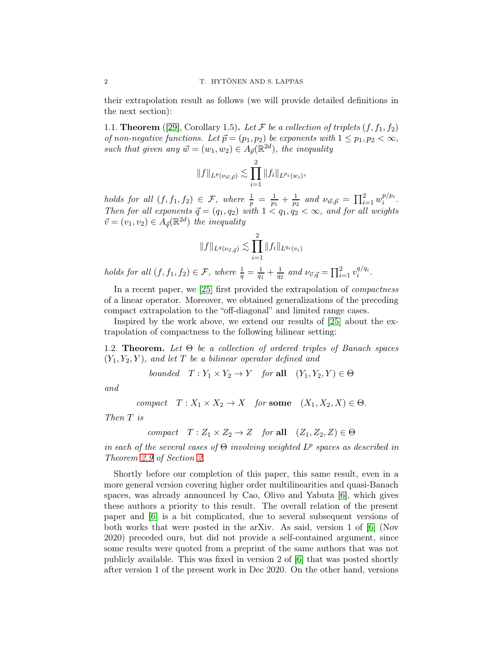their extrapolation result as follows (we will provide detailed definitions in the next section):

<span id="page-1-0"></span>1.1. **Theorem** ([\[29\]](#page-25-3), Corollary 1.5). Let F be a collection of triplets  $(f, f_1, f_2)$ of non-negative functions. Let  $\vec{p} = (p_1, p_2)$  be exponents with  $1 \leq p_1, p_2 < \infty$ , such that given any  $\vec{w} = (w_1, w_2) \in A_{\vec{p}}(\mathbb{R}^{2d})$ , the inequality

$$
||f||_{L^p(\nu_{\vec{w},\vec{p}})} \lesssim \prod_{i=1}^2 ||f_i||_{L^{p_i}(w_i)},
$$

holds for all  $(f, f_1, f_2) \in \mathcal{F}$ , where  $\frac{1}{p} = \frac{1}{p_1}$  $\frac{1}{p_1} + \frac{1}{p_2}$  $\frac{1}{p_2}$  and  $\nu_{\vec{w}, \vec{p}} = \prod_{i=1}^2 w_i^{p/p_i}$  $i^{p/p_i}.$ Then for all exponents  $\vec{q} = (q_1, q_2)$  with  $1 < q_1, q_2 < \infty$ , and for all weights  $\vec{v} = (v_1, v_2) \in A_{\vec{q}}(\mathbb{R}^{2d})$  the inequality

$$
||f||_{L^{q}(\nu_{\vec{v},\vec{q}})} \lesssim \prod_{i=1}^{2} ||f_i||_{L^{q_i}(v_i)}
$$

holds for all  $(f, f_1, f_2) \in \mathcal{F}$ , where  $\frac{1}{q} = \frac{1}{q_1}$  $\frac{1}{q_1} + \frac{1}{q_2}$  $\frac{1}{q_2}$  and  $\nu_{\vec{v},\vec{q}} = \prod_{i=1}^2 v_i^{q/q_i}$  $\frac{q}{i}$ .

In a recent paper, we [\[25\]](#page-25-7) first provided the extrapolation of *compactness* of a linear operator. Moreover, we obtained generalizations of the preceding compact extrapolation to the "off-diagonal" and limited range cases.

Inspired by the work above, we extend our results of [\[25\]](#page-25-7) about the extrapolation of compactness to the following bilinear setting:

1.2. **Theorem.** Let  $\Theta$  be a collection of ordered triples of Banach spaces  $(Y_1, Y_2, Y)$ , and let T be a bilinear operator defined and

bounded  $T: Y_1 \times Y_2 \to Y$  for all  $(Y_1, Y_2, Y) \in \Theta$ 

and

$$
compact \quad T: X_1 \times X_2 \to X \quad \text{for some} \quad (X_1, X_2, X) \in \Theta.
$$

Then T is

$$
compact \quad T: Z_1 \times Z_2 \to Z \quad \text{for all} \quad (Z_1, Z_2, Z) \in \Theta
$$

in each of the several cases of  $\Theta$  involving weighted  $L^p$  spaces as described in Theorem [2.9](#page-4-0) of Section [2.](#page-3-0)

Shortly before our completion of this paper, this same result, even in a more general version covering higher order multilinearities and quasi-Banach spaces, was already announced by Cao, Olivo and Yabuta [\[6\]](#page-24-1), which gives these authors a priority to this result. The overall relation of the present paper and [\[6\]](#page-24-1) is a bit complicated, due to several subsequent versions of both works that were posted in the arXiv. As said, version 1 of [\[6\]](#page-24-1) (Nov 2020) preceded ours, but did not provide a self-contained argument, since some results were quoted from a preprint of the same authors that was not publicly available. This was fixed in version 2 of [\[6\]](#page-24-1) that was posted shortly after version 1 of the present work in Dec 2020. On the other hand, versions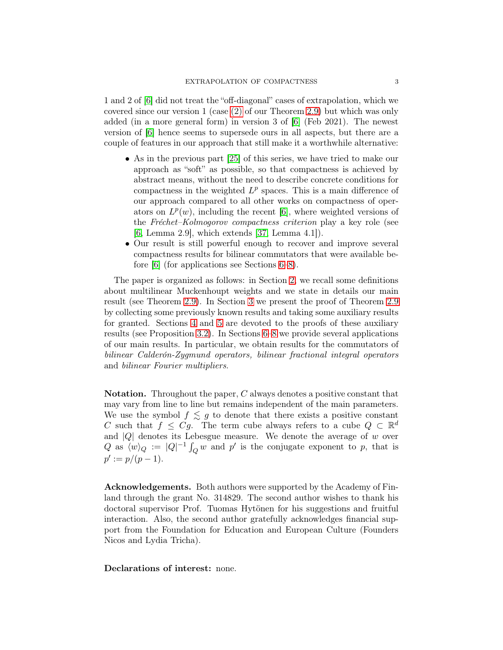1 and 2 of [\[6\]](#page-24-1) did not treat the "off-diagonal" cases of extrapolation, which we covered since our version 1 (case [\(2\)](#page-5-0) of our Theorem [2.9\)](#page-4-0) but which was only added (in a more general form) in version 3 of [\[6\]](#page-24-1) (Feb 2021). The newest version of [\[6\]](#page-24-1) hence seems to supersede ours in all aspects, but there are a couple of features in our approach that still make it a worthwhile alternative:

- As in the previous part [\[25\]](#page-25-7) of this series, we have tried to make our approach as "soft" as possible, so that compactness is achieved by abstract means, without the need to describe concrete conditions for compactness in the weighted  $L^p$  spaces. This is a main difference of our approach compared to all other works on compactness of operators on  $L^p(w)$ , including the recent [\[6\]](#page-24-1), where weighted versions of the Fréchet–Kolmogorov compactness criterion play a key role (see [\[6,](#page-24-1) Lemma 2.9], which extends [\[37,](#page-25-8) Lemma 4.1]).
- Our result is still powerful enough to recover and improve several compactness results for bilinear commutators that were available before [\[6\]](#page-24-1) (for applications see Sections [6–](#page-19-0)[8\)](#page-22-0).

The paper is organized as follows: in Section [2,](#page-3-0) we recall some definitions about multilinear Muckenhoupt weights and we state in details our main result (see Theorem [2.9\)](#page-4-0). In Section [3](#page-6-0) we present the proof of Theorem [2.9](#page-4-0) by collecting some previously known results and taking some auxiliary results for granted. Sections [4](#page-8-0) and [5](#page-10-0) are devoted to the proofs of these auxiliary results (see Proposition [3.2\)](#page-7-0). In Sections [6](#page-19-0)[–8](#page-22-0) we provide several applications of our main results. In particular, we obtain results for the commutators of bilinear Calderón-Zygmund operators, bilinear fractional integral operators and bilinear Fourier multipliers.

Notation. Throughout the paper, C always denotes a positive constant that may vary from line to line but remains independent of the main parameters. We use the symbol  $f \leq g$  to denote that there exists a positive constant C such that  $f \leq Cg$ . The term cube always refers to a cube  $Q \subset \mathbb{R}^d$ and  $|Q|$  denotes its Lebesgue measure. We denote the average of w over Q as  $\langle w \rangle_Q := |Q|^{-1} \int_Q w$  and p' is the conjugate exponent to p, that is  $p' := p/(p-1).$ 

Acknowledgements. Both authors were supported by the Academy of Finland through the grant No. 314829. The second author wishes to thank his doctoral supervisor Prof. Tuomas Hytönen for his suggestions and fruitful interaction. Also, the second author gratefully acknowledges financial support from the Foundation for Education and European Culture (Founders Nicos and Lydia Tricha).

Declarations of interest: none.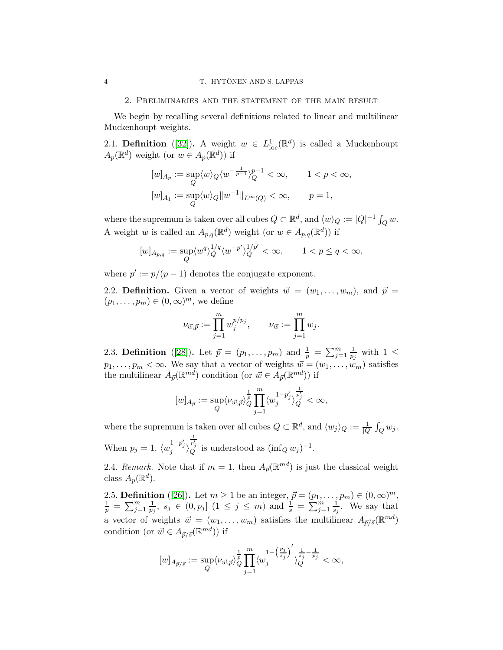#### <span id="page-3-0"></span>2. Preliminaries and the statement of the main result

We begin by recalling several definitions related to linear and multilinear Muckenhoupt weights.

2.1. **Definition** ([\[32\]](#page-25-9)). A weight  $w \in L^1_{loc}(\mathbb{R}^d)$  is called a Muckenhoupt  $A_p(\mathbb{R}^d)$  weight (or  $w \in A_p(\mathbb{R}^d)$ ) if

$$
\begin{aligned} [w]_{A_p} &:= \sup_Q \langle w \rangle_Q \langle w^{-\frac{1}{p-1}} \rangle_Q^{p-1} < \infty, \qquad 1 < p < \infty, \\ [w]_{A_1} &:= \sup_Q \langle w \rangle_Q \| w^{-1} \|_{L^\infty(Q)} < \infty, \qquad p = 1, \end{aligned}
$$

where the supremum is taken over all cubes  $Q \subset \mathbb{R}^d$ , and  $\langle w \rangle_Q := |Q|^{-1} \int_Q w$ . A weight w is called an  $A_{p,q}(\mathbb{R}^d)$  weight (or  $w \in A_{p,q}(\mathbb{R}^d)$ ) if

$$
[w]_{A_{p,q}}:=\sup_Q\langle w^q\rangle_Q^{1/q}\langle w^{-p'}\rangle_Q^{1/p'}<\infty,\qquad 1
$$

where  $p' := p/(p-1)$  denotes the conjugate exponent.

2.2. Definition. Given a vector of weights  $\vec{w} = (w_1, \ldots, w_m)$ , and  $\vec{p} =$  $(p_1, \ldots, p_m) \in (0, \infty)^m$ , we define

$$
\nu_{\vec{w},\vec{p}} := \prod_{j=1}^m w_j^{p/p_j}, \qquad \nu_{\vec{w}} := \prod_{j=1}^m w_j.
$$

<span id="page-3-1"></span>2.3. **Definition** ([\[28\]](#page-25-6)). Let  $\vec{p} = (p_1, ..., p_m)$  and  $\frac{1}{p} = \sum_{j=1}^{m} \frac{1}{p_j}$  $\frac{1}{p_j}$  with  $1 \leq$  $p_1, \ldots, p_m < \infty$ . We say that a vector of weights  $\vec{w} = (w_1, \ldots, w_m)$  satisfies the multilinear  $A_{\vec{p}}(\mathbb{R}^{md})$  condition (or  $\vec{w} \in A_{\vec{p}}(\mathbb{R}^{md})$ ) if

$$
[w]_{A_{\vec{p}}}:=\sup_{Q}\langle \nu_{\vec{w},\vec{p}}\rangle_{Q}^{\frac{1}{p}}\prod_{j=1}^{m}\langle w_j^{1-p_j'}\rangle_{Q}^{\frac{1}{p_j'}}<\infty,
$$

where the supremum is taken over all cubes  $Q \subset \mathbb{R}^d$ , and  $\langle w_j \rangle_Q := \frac{1}{|Q|} \int_Q w_j$ . When  $p_j = 1, \langle w_j^{1-p'_j} \rangle$  $\frac{1}{p'_j}$  is understood as  $(\inf_Q w_j)^{-1}$ .

2.4. Remark. Note that if  $m = 1$ , then  $A_{\vec{p}}(\mathbb{R}^{md})$  is just the classical weight class  $A_p(\mathbb{R}^d)$ .

2.5. **Definition** ([\[26\]](#page-25-10)). Let  $m \ge 1$  be an integer,  $\vec{p} = (p_1, \ldots, p_m) \in (0, \infty)^m$ ,  $\frac{1}{p} = \sum_{j=1}^{m} \frac{1}{p_j}$  $\frac{1}{p_j}, s_j \in (0, p_j]$   $(1 \leq j \leq m)$  and  $\frac{1}{s} = \sum_{j=1}^{m} \frac{1}{s_j}$  $\frac{1}{s_j}$ . We say that a vector of weights  $\vec{w} = (w_1, \dots, w_m)$  satisfies the multilinear  $A_{\vec{p}/\vec{s}}(\mathbb{R}^{md})$ condition (or  $\vec{w} \in A_{\vec{p}/\vec{s}}(\mathbb{R}^{md})$ ) if

$$
[w]_{A_{\vec{p}/\vec{s}}}:=\sup_Q\langle \nu_{\vec{w},\vec{p}}\rangle_Q^{\frac{1}{p}}\prod_{j=1}^m\langle w_j^{1-\left(\frac{p_j}{s_j}\right)'}\rangle_Q^{\frac{1}{s_j}-\frac{1}{p_j}}<\infty,
$$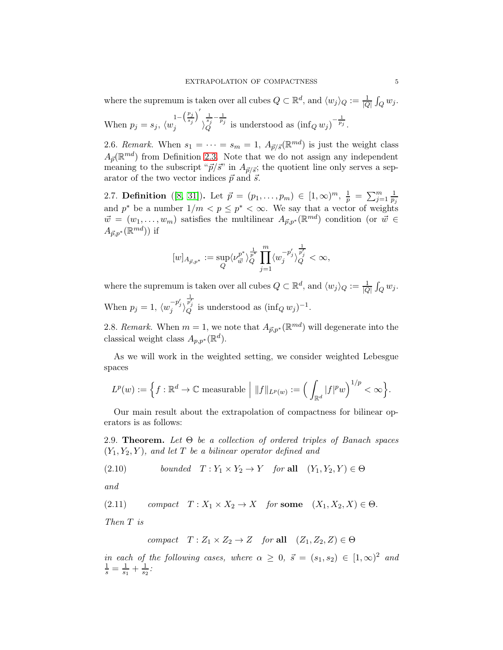where the supremum is taken over all cubes  $Q \subset \mathbb{R}^d$ , and  $\langle w_j \rangle_Q := \frac{1}{|Q|} \int_Q w_j$ .

When  $p_j = s_j$ ,  $\langle w_j^{1 - \left(\frac{p_j}{s_j}\right)'}$  $j \stackrel{\langle s_j \rangle}{\longrightarrow}$  $\frac{1}{s_j} - \frac{1}{p_j}$  $\frac{1}{s_j} - \frac{1}{p_j}$  is understood as  $\left(\inf_Q w_j\right)^{-\frac{1}{p_j}}$ .

2.6. Remark. When  $s_1 = \cdots = s_m = 1$ ,  $A_{\vec{p}/\vec{s}}(\mathbb{R}^{md})$  is just the weight class  $A_{\vec{p}}(\mathbb{R}^{md})$  from Definition [2.3.](#page-3-1) Note that we do not assign any independent meaning to the subscript " $\vec{p}/\vec{s}$ " in  $A_{\vec{p}/\vec{s}}$ ; the quotient line only serves a separator of the two vector indices  $\vec{p}$  and  $\vec{s}$ .

2.7. Definition ([\[8,](#page-24-2) [31\]](#page-25-11)). Let  $\vec{p} = (p_1, \ldots, p_m) \in [1, \infty)^m$ ,  $\frac{1}{p} = \sum_{j=1}^m \frac{1}{p_j}$  $p_j$ and  $p^*$  be a number  $1/m < p \leq p^* < \infty$ . We say that a vector of weights  $\vec{w} = (w_1, \ldots, w_m)$  satisfies the multilinear  $A_{\vec{p},p^*}(\mathbb{R}^{md})$  condition (or  $\vec{w} \in$  $A_{\vec{p},p^*}(\mathbb{R}^{md})$ ) if

$$
[w]_{A_{\vec{p},p^*}}:=\sup_Q\langle \nu^{p^*}_{\vec{w}}\rangle^{\frac{1}{p^*}}_Q\prod\limits_{j=1}^m\langle w_j^{-p_j'}\rangle^{\frac{1}{p_j'}}_Q<\infty,
$$

where the supremum is taken over all cubes  $Q \subset \mathbb{R}^d$ , and  $\langle w_j \rangle_Q := \frac{1}{|Q|} \int_Q w_j$ . When  $p_j = 1, \langle w_j^{-p'_j} \rangle$  $\frac{\frac{1}{p'_j}}{Q}$  is understood as  $(\inf_Q w_j)^{-1}$ .

2.8. Remark. When  $m = 1$ , we note that  $A_{\vec{p},p^*}(\mathbb{R}^{md})$  will degenerate into the classical weight class  $A_{p,p^*}(\mathbb{R}^d)$ .

As we will work in the weighted setting, we consider weighted Lebesgue spaces

$$
L^p(w) := \left\{ f : \mathbb{R}^d \to \mathbb{C} \text{ measurable } \middle| \|f\|_{L^p(w)} := \left( \int_{\mathbb{R}^d} |f|^p w \right)^{1/p} < \infty \right\}.
$$

Our main result about the extrapolation of compactness for bilinear operators is as follows:

<span id="page-4-0"></span>2.9. **Theorem.** Let  $\Theta$  be a collection of ordered triples of Banach spaces  $(Y_1, Y_2, Y)$ , and let T be a bilinear operator defined and

<span id="page-4-1"></span>(2.10) *bounded* 
$$
T: Y_1 \times Y_2 \to Y
$$
 *for* **all**  $(Y_1, Y_2, Y) \in \Theta$ 

and

(2.11) compact  $T : X_1 \times X_2 \to X$  for some  $(X_1, X_2, X) \in \Theta$ .

Then T is

<span id="page-4-2"></span>compact  $T : Z_1 \times Z_2 \to Z$  for all  $(Z_1, Z_2, Z) \in \Theta$ 

in each of the following cases, where  $\alpha \geq 0$ ,  $\vec{s} = (s_1, s_2) \in [1, \infty)^2$  and  $\frac{1}{s} = \frac{1}{s_1}$  $\frac{1}{s_1} + \frac{1}{s_2}$  $\frac{1}{s_2}$ :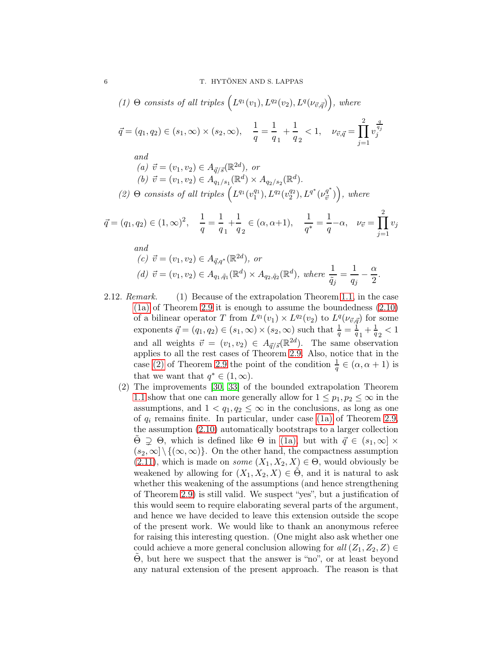<span id="page-5-2"></span><span id="page-5-1"></span><span id="page-5-0"></span>(1) 
$$
\Theta
$$
 consists of all triples  $(L^{q_1}(v_1), L^{q_2}(v_2), L^{q}(\nu_{\vec{v}, \vec{q}}))$ , where  
\n $\vec{q} = (q_1, q_2) \in (s_1, \infty) \times (s_2, \infty), \quad \frac{1}{q} = \frac{1}{q_1} + \frac{1}{q_2} < 1, \quad \nu_{\vec{v}, \vec{q}} = \prod_{j=1}^{2} v_j^{\frac{q}{q_j}}$   
\nand  
\n(a)  $\vec{v} = (v_1, v_2) \in A_{\vec{q}/\vec{s}}(\mathbb{R}^{2d}),$  or  
\n(b)  $\vec{v} = (v_1, v_2) \in A_{q_1/s_1}(\mathbb{R}^d) \times A_{q_2/s_2}(\mathbb{R}^d).$   
\n(2)  $\Theta$  consists of all triples  $(L^{q_1}(v_1^{q_1}), L^{q_2}(v_2^{q_2}), L^{q^*}(v_{\vec{v}}^{q^*}))$ , where  
\n $\vec{q} = (q_1, q_2) \in (1, \infty)^2, \quad \frac{1}{q} = \frac{1}{q_1} + \frac{1}{q_2} \in (\alpha, \alpha + 1), \quad \frac{1}{q^*} = \frac{1}{q} - \alpha, \quad \nu_{\vec{v}} = \prod_{j=1}^{2} v_j$   
\nand  
\n(c)  $\vec{v} = (v_1, v_2) \in A_{\vec{q}, q^*}(\mathbb{R}^{2d}),$  or  
\n(d)  $\vec{v} = (v_1, v_2) \in A_{q_1, \vec{q}_1}(\mathbb{R}^d) \times A_{q_2, \vec{q}_2}(\mathbb{R}^d),$  where  $\frac{1}{\vec{q}_j} = \frac{1}{q_j} - \frac{\alpha}{2}$ .

- 2.12. Remark. (1) Because of the extrapolation Theorem [1.1,](#page-1-0) in the case [\(1a\)](#page-5-1) of Theorem [2.9](#page-4-0) it is enough to assume the boundedness [\(2.10\)](#page-4-1) of a bilinear operator T from  $L^{q_1}(v_1) \times L^{q_2}(v_2)$  to  $L^{q}(\nu_{\vec{v}, \vec{q}})$  for some exponents  $\vec{q} = (q_1, q_2) \in (s_1, \infty) \times (s_2, \infty)$  such that  $\frac{1}{q} = \frac{1}{q}$  $\frac{1}{q_1} + \frac{1}{q_2}$  $\frac{1}{q}$ <sub>2</sub> < 1 and all weights  $\vec{v} = (v_1, v_2) \in A_{\vec{q}/\vec{s}}(\mathbb{R}^{2d})$ . The same observation applies to all the rest cases of Theorem [2.9.](#page-4-0) Also, notice that in the case [\(2\)](#page-5-0) of Theorem [2.9](#page-4-0) the point of the condition  $\frac{1}{q} \in (\alpha, \alpha + 1)$  is that we want that  $q^* \in (1, \infty)$ .
	- (2) The improvements [\[30,](#page-25-4) [33\]](#page-25-5) of the bounded extrapolation Theorem [1.1](#page-1-0) show that one can more generally allow for  $1 \leq p_1, p_2 \leq \infty$  in the assumptions, and  $1 < q_1, q_2 \leq \infty$  in the conclusions, as long as one of  $q_i$  remains finite. In particular, under case [\(1a\)](#page-5-1) of Theorem [2.9,](#page-4-0) the assumption [\(2.10\)](#page-4-1) automatically bootstraps to a larger collection  $Θ$   $\supseteq$   $Θ$ , which is defined like  $Θ$  in [\(1a\),](#page-5-1) but with  $\vec{q}$  ∈ (s<sub>1</sub>, ∞) ×  $(s_2,\infty] \setminus \{(\infty,\infty)\}.$  On the other hand, the compactness assumption  $(2.11)$ , which is made on *some*  $(X_1, X_2, X) \in \Theta$ , would obviously be weakened by allowing for  $(X_1, X_2, X) \in \Theta$ , and it is natural to ask whether this weakening of the assumptions (and hence strengthening of Theorem [2.9\)](#page-4-0) is still valid. We suspect "yes", but a justification of this would seem to require elaborating several parts of the argument, and hence we have decided to leave this extension outside the scope of the present work. We would like to thank an anonymous referee for raising this interesting question. (One might also ask whether one could achieve a more general conclusion allowing for  $all (Z_1, Z_2, Z) \in$  $\Theta$ , but here we suspect that the answer is "no", or at least beyond any natural extension of the present approach. The reason is that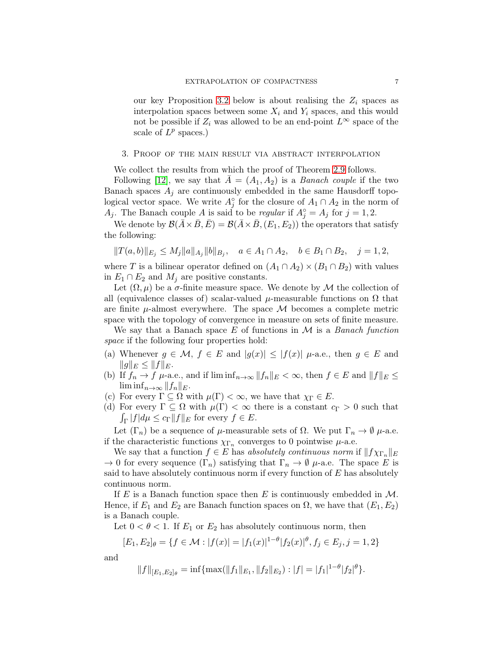our key Proposition [3.2](#page-7-0) below is about realising the  $Z_i$  spaces as interpolation spaces between some  $X_i$  and  $Y_i$  spaces, and this would not be possible if  $Z_i$  was allowed to be an end-point  $L^{\infty}$  space of the scale of  $L^p$  spaces.)

### <span id="page-6-0"></span>3. Proof of the main result via abstract interpolation

We collect the results from which the proof of Theorem [2.9](#page-4-0) follows.

Following [\[12\]](#page-24-3), we say that  $A = (A_1, A_2)$  is a *Banach couple* if the two Banach spaces  $A_i$  are continuously embedded in the same Hausdorff topological vector space. We write  $A_j^{\circ}$  for the closure of  $A_1 \cap A_2$  in the norm of  $A_j$ . The Banach couple A is said to be *regular* if  $A_j^\circ = A_j$  for  $j = 1, 2$ .

We denote by  $\mathcal{B}(\bar{A}\times\bar{B}, \bar{E}) = \mathcal{B}(\bar{A}\times\bar{B}, (E_1, E_2))$  the operators that satisfy the following:

$$
||T(a,b)||_{E_j} \le M_j ||a||_{A_j} ||b||_{B_j}, \quad a \in A_1 \cap A_2, \quad b \in B_1 \cap B_2, \quad j = 1, 2,
$$

where T is a bilinear operator defined on  $(A_1 \cap A_2) \times (B_1 \cap B_2)$  with values in  $E_1 \cap E_2$  and  $M_j$  are positive constants.

Let  $(\Omega, \mu)$  be a  $\sigma$ -finite measure space. We denote by M the collection of all (equivalence classes of) scalar-valued  $\mu$ -measurable functions on  $\Omega$  that are finite  $\mu$ -almost everywhere. The space M becomes a complete metric space with the topology of convergence in measure on sets of finite measure.

We say that a Banach space E of functions in  $\mathcal M$  is a Banach function space if the following four properties hold:

- (a) Whenever  $g \in \mathcal{M}$ ,  $f \in E$  and  $|g(x)| \leq |f(x)| \mu$ -a.e., then  $g \in E$  and  $||g||_E \leq ||f||_E.$
- (b) If  $f_n \to f$   $\mu$ -a.e., and if  $\liminf_{n\to\infty} ||f_n||_E < \infty$ , then  $f \in E$  and  $||f||_E \le$  $\liminf_{n\to\infty}||f_n||_E.$
- (c) For every  $\Gamma \subseteq \Omega$  with  $\mu(\Gamma) < \infty$ , we have that  $\chi_{\Gamma} \in E$ .
- (d) For every  $\Gamma \subseteq \Omega$  with  $\mu(\Gamma) < \infty$  there is a constant  $c_{\Gamma} > 0$  such that  $\int_{\Gamma} |f| d\mu \leq c_{\Gamma} ||f||_{E}$  for every  $f \in E$ .

Let  $(\Gamma_n)$  be a sequence of  $\mu$ -measurable sets of  $\Omega$ . We put  $\Gamma_n \to \emptyset$   $\mu$ -a.e. if the characteristic functions  $\chi_{\Gamma_n}$  converges to 0 pointwise  $\mu$ -a.e.

We say that a function  $f \in E$  has absolutely continuous norm if  $||f \chi_{\Gamma_n}||_E$  $\to 0$  for every sequence  $(\Gamma_n)$  satisfying that  $\Gamma_n \to \emptyset$   $\mu$ -a.e. The space E is said to have absolutely continuous norm if every function of  $E$  has absolutely continuous norm.

If E is a Banach function space then E is continuously embedded in  $M$ . Hence, if  $E_1$  and  $E_2$  are Banach function spaces on  $\Omega$ , we have that  $(E_1, E_2)$ is a Banach couple.

Let  $0 < \theta < 1$ . If  $E_1$  or  $E_2$  has absolutely continuous norm, then

$$
[E_1, E_2]_{\theta} = \{ f \in \mathcal{M} : |f(x)| = |f_1(x)|^{1-\theta} |f_2(x)|^{\theta}, f_j \in E_j, j = 1, 2 \}
$$

and

$$
||f||_{[E_1,E_2]_\theta} = \inf \{ \max(||f_1||_{E_1}, ||f_2||_{E_2}) : |f| = |f_1|^{1-\theta} |f_2|^\theta \}.
$$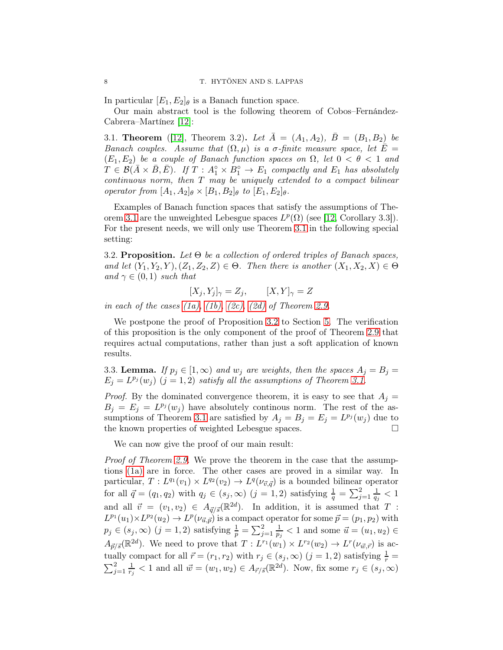In particular  $[E_1, E_2]_\theta$  is a Banach function space.

Our main abstract tool is the following theorem of Cobos–Fernández-Cabrera–Martínez [\[12\]](#page-24-3):

<span id="page-7-1"></span>3.1. **Theorem** ([\[12\]](#page-24-3), Theorem 3.2). Let  $A = (A_1, A_2), B = (B_1, B_2)$  be Banach couples. Assume that  $(\Omega, \mu)$  is a  $\sigma$ -finite measure space, let  $E =$  $(E_1, E_2)$  be a couple of Banach function spaces on  $\Omega$ , let  $0 < \theta < 1$  and  $T \in \mathcal{B}(\bar{A} \times \bar{B}, \bar{E})$ . If  $T : A_1^\circ \times B_1^\circ \to E_1$  compactly and  $E_1$  has absolutely  $continuous$  norm, then  $T$  may be uniquely extended to a compact bilinear operator from  $[A_1, A_2]_\theta \times [B_1, B_2]_\theta$  to  $[E_1, E_2]_\theta$ .

Examples of Banach function spaces that satisfy the assumptions of The-orem [3.1](#page-7-1) are the unweighted Lebesgue spaces  $L^p(\Omega)$  (see [\[12,](#page-24-3) Corollary 3.3]). For the present needs, we will only use Theorem [3.1](#page-7-1) in the following special setting:

<span id="page-7-0"></span>3.2. Proposition. Let  $\Theta$  be a collection of ordered triples of Banach spaces, and let  $(Y_1, Y_2, Y), (Z_1, Z_2, Z) \in \Theta$ . Then there is another  $(X_1, X_2, X) \in \Theta$ and  $\gamma \in (0,1)$  such that

$$
[X_j, Y_j]_{\gamma} = Z_j, \qquad [X, Y]_{\gamma} = Z
$$

in each of the cases  $(1a)$ ,  $(1b)$ ,  $(2c)$ ,  $(2d)$  of Theorem [2.9.](#page-4-0)

We postpone the proof of Proposition [3.2](#page-7-0) to Section [5.](#page-10-0) The verification of this proposition is the only component of the proof of Theorem [2.9](#page-4-0) that requires actual computations, rather than just a soft application of known results.

<span id="page-7-2"></span>3.3. **Lemma.** If  $p_j \in [1,\infty)$  and  $w_j$  are weights, then the spaces  $A_j = B_j =$  $E_j = L^{p_j}(w_j)$   $(j = 1, 2)$  satisfy all the assumptions of Theorem [3.1.](#page-7-1)

*Proof.* By the dominated convergence theorem, it is easy to see that  $A_j =$  $B_j = E_j = L^{p_j}(w_j)$  have absolutely continuos norm. The rest of the as-sumptions of Theorem [3.1](#page-7-1) are satisfied by  $A_j = B_j = E_j = L^{p_j}(w_j)$  due to the known properties of weighted Lebesgue spaces.

We can now give the proof of our main result:

Proof of Theorem [2.9.](#page-4-0) We prove the theorem in the case that the assumptions [\(1a\)](#page-5-1) are in force. The other cases are proved in a similar way. In particular,  $T: L^{q_1}(v_1) \times L^{q_2}(v_2) \to L^{q}(\nu_{\vec{v}, \vec{q}})$  is a bounded bilinear operator for all  $\vec{q} = (q_1, q_2)$  with  $q_j \in (s_j, \infty)$   $(j = 1, 2)$  satisfying  $\frac{1}{q} = \sum_{j=1}^{2} \frac{1}{q_j}$  $\frac{1}{q_j} < 1$ and all  $\vec{v} = (v_1, v_2) \in A_{\vec{q}/\vec{s}}(\mathbb{R}^{2d})$ . In addition, it is assumed that T:  $L^{p_1}(u_1)\times L^{p_2}(u_2) \to L^p(\nu_{\vec{u},\vec{p}})$  is a compact operator for some  $\vec{p}=(p_1,p_2)$  with  $p_j \in (s_j, \infty)$   $(j = 1, 2)$  satisfying  $\frac{1}{p} = \sum_{j=1}^{2} \frac{1}{p_j}$  $\frac{1}{p_j}$  < 1 and some  $\vec{u} = (u_1, u_2) \in$  $A_{\vec{p}/\vec{s}}(\mathbb{R}^{2d})$ . We need to prove that  $T: L^{r_1}(w_1) \times L^{r_2}(w_2) \to L^{r}(\nu_{\vec{w},\vec{r}})$  is actually compact for all  $\vec{r} = (r_1, r_2)$  with  $r_j \in (s_j, \infty)$   $(j = 1, 2)$  satisfying  $\frac{1}{r} = \sum_{i=1}^{2} \frac{1}{r} < 1$  and all  $\vec{w} = (w_1, w_2) \in A_{\vec{r}/\vec{s}}(\mathbb{R}^{2d})$ . Now, fix some  $r_i \in (s_i, \infty)$  $\frac{2}{j=1} \frac{1}{r_i}$  $\frac{1}{r_j} < 1$  and all  $\vec{w} = (w_1, w_2) \in A_{\vec{r}/\vec{s}}(\mathbb{R}^{2d})$ . Now, fix some  $r_j \in (s_j, \infty)$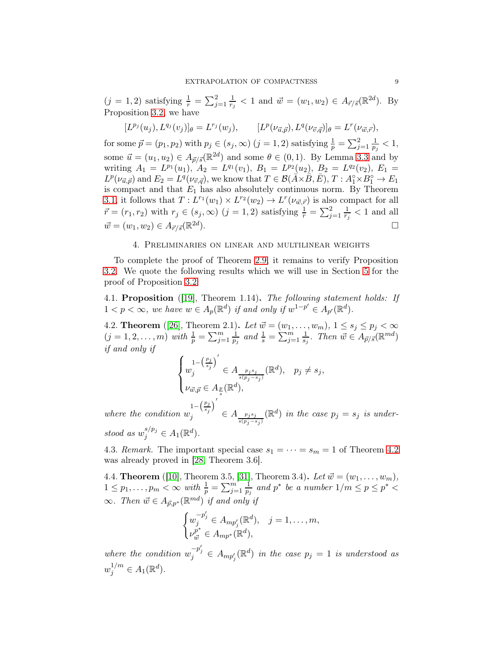$(j = 1, 2)$  satisfying  $\frac{1}{r} = \sum_{j=1}^{2} \frac{1}{r_j}$  $\frac{1}{r_j}$  < 1 and  $\vec{w} = (w_1, w_2) \in A_{\vec{r}/\vec{s}}(\mathbb{R}^{2d})$ . By Proposition [3.2,](#page-7-0) we have

$$
[L^{p_j}(u_j), L^{q_j}(v_j)]_{\theta} = L^{r_j}(w_j), \qquad [L^{p}(\nu_{\vec{u},\vec{p}}), L^{q}(\nu_{\vec{v},\vec{q}})]_{\theta} = L^{r}(\nu_{\vec{w},\vec{r}}),
$$

for some  $\vec{p} = (p_1, p_2)$  with  $p_j \in (s_j, \infty)$   $(j = 1, 2)$  satisfying  $\frac{1}{p} = \sum_{j=1}^{2} \frac{1}{p_j}$  $\frac{1}{p_j} < 1,$ some  $\vec{u} = (u_1, u_2) \in A_{\vec{p}/\vec{s}}(\mathbb{R}^{2d})$  and some  $\theta \in (0, 1)$ . By Lemma [3.3](#page-7-2) and by writing  $A_1 = L^{p_1}(u_1), A_2 = L^{q_1}(v_1), B_1 = L^{p_2}(u_2), B_2 = L^{q_2}(v_2), E_1 =$  $L^p(\nu_{\vec{u}, \vec{p}})$  and  $E_2 = L^q(\nu_{\vec{v}, \vec{q}})$ , we know that  $T \in \mathcal{B}(\vec{A} \times \vec{B}, \vec{E}), T : A_1^{\circ} \times B_1^{\circ} \to E_1$ is compact and that  $E_1$  has also absolutely continuous norm. By Theorem [3.1,](#page-7-1) it follows that  $T: L^{r_1}(w_1) \times L^{r_2}(w_2) \to L^{r}(\nu_{\vec{w},\vec{r}})$  is also compact for all  $\vec{r} = (r_1, r_2)$  with  $r_j \in (s_j, \infty)$   $(j = 1, 2)$  satisfying  $\frac{1}{r} = \sum_{j=1}^{2} \frac{1}{r_j}$  $\frac{1}{r_j} < 1$  and all  $\vec{w} = (w_1, w_2) \in A_{\vec{r}/\vec{s}}(\mathbb{R}^{2d}))$ ).  $\qquad \qquad \Box$ 

#### 4. Preliminaries on linear and multilinear weights

<span id="page-8-0"></span>To complete the proof of Theorem [2.9,](#page-4-0) it remains to verify Proposition [3.2.](#page-7-0) We quote the following results which we will use in Section [5](#page-10-0) for the proof of Proposition [3.2:](#page-7-0)

<span id="page-8-2"></span>4.1. Proposition ([\[19\]](#page-25-12), Theorem 1.14). The following statement holds: If  $1 < p < \infty$ , we have  $w \in A_p(\mathbb{R}^d)$  if and only if  $w^{1-p'} \in A_{p'}(\mathbb{R}^d)$ .

<span id="page-8-1"></span>4.2. **Theorem** ([\[26\]](#page-25-10), Theorem 2.1). Let  $\vec{w} = (w_1, \dots, w_m)$ ,  $1 \le s_j \le p_j < \infty$  $(j = 1, 2, \ldots, m)$  with  $\frac{1}{p} = \sum_{j=1}^{m} \frac{1}{p_j}$  $\frac{1}{p_j}$  and  $\frac{1}{s} = \sum_{j=1}^{m} \frac{1}{s_j}$  $\frac{1}{s_j}$ . Then  $\vec{w} \in A_{\vec{p}/\vec{s}}(\mathbb{R}^{md})$ if and only if

$$
\begin{cases} u^{-\left(\frac{p_j}{s_j}\right)'} \\ w_j \in A_{\frac{p_js_j}{s(p_j-s_j)}}(\mathbb{R}^d), & p_j \neq s_j, \\ \nu_{\vec{w},\vec{p}} \in A_{\frac{p}{s}}(\mathbb{R}^d), & \end{cases}
$$

where the condition  $w_i^{1-\left(\frac{p_j}{s_j}\right)^{\prime}}$  $j \in A_{\frac{p_j s_j}{s(p_j - s_j)}}(\mathbb{R}^d)$  in the case  $p_j = s_j$  is understood as  $w_j^{s/p_j} \in A_1(\mathbb{R}^d)$ .

4.3. Remark. The important special case  $s_1 = \cdots = s_m = 1$  of Theorem [4.2](#page-8-1) was already proved in [\[28,](#page-25-6) Theorem 3.6].

<span id="page-8-3"></span>4.4. **Theorem** ([\[10\]](#page-24-4), Theorem 3.5, [\[31\]](#page-25-11), Theorem 3.4). Let  $\vec{w} = (w_1, \ldots, w_m)$ ,  $1 \leq p_1, \ldots, p_m < \infty$  with  $\frac{1}{p} = \sum_{j=1}^m \frac{1}{p_j}$  $\frac{1}{p_j}$  and  $p^*$  be a number  $1/m \leq p \leq p^*$  <  $\infty$ . Then  $\vec{w} \in A_{\vec{p},p^*}(\mathbb{R}^{md})$  if and only if

$$
\begin{cases} w_j^{-p'_j} \in A_{mp'_j}(\mathbb{R}^d), & j = 1, ..., m, \\ \nu_{\vec{w}}^{p^*} \in A_{mp^*}(\mathbb{R}^d), \end{cases}
$$

where the condition  $w_j^{-p'_j} \in A_{mp'_j}(\mathbb{R}^d)$  in the case  $p_j = 1$  is understood as  $w_j^{1/m} \in A_1(\mathbb{R}^d)$ .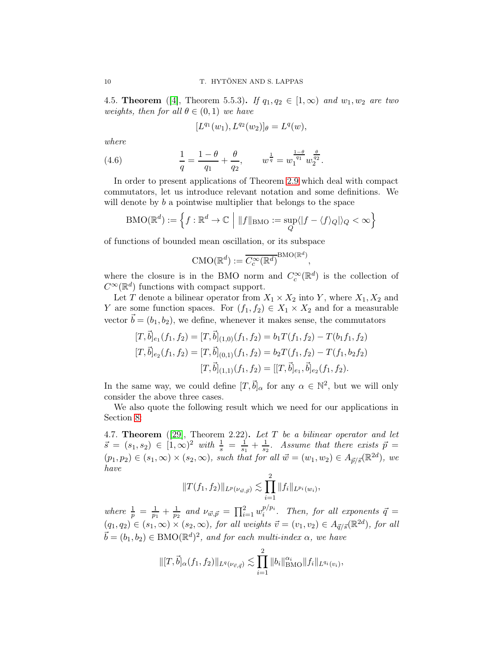<span id="page-9-0"></span>4.5. Theorem ([\[4\]](#page-24-5), Theorem 5.5.3). If  $q_1, q_2 \in [1,\infty)$  and  $w_1, w_2$  are two weights, then for all  $\theta \in (0,1)$  we have

$$
[L^{q_1}(w_1), L^{q_2}(w_2)]_{\theta} = L^q(w),
$$

where

(4.6) 
$$
\frac{1}{q} = \frac{1-\theta}{q_1} + \frac{\theta}{q_2}, \qquad w^{\frac{1}{q}} = w_1^{\frac{1-\theta}{q_1}} w_2^{\frac{\theta}{q_2}}.
$$

In order to present applications of Theorem [2.9](#page-4-0) which deal with compact commutators, let us introduce relevant notation and some definitions. We will denote by b a pointwise multiplier that belongs to the space

$$
\mathrm{BMO}(\mathbb{R}^d) := \Big\{ f: \mathbb{R}^d \to \mathbb{C} \ \Big| \ \|f\|_{\mathrm{BMO}} := \sup_Q \langle |f - \langle f \rangle_Q| \rangle_Q < \infty \Big\}
$$

of functions of bounded mean oscillation, or its subspace

$$
CMO(\mathbb{R}^d) := \overline{C_c^{\infty}(\mathbb{R}^d)}^{\operatorname{BMO}(\mathbb{R}^d)}
$$

,

where the closure is in the BMO norm and  $C_c^{\infty}(\mathbb{R}^d)$  is the collection of  $C^{\infty}(\mathbb{R}^d)$  functions with compact support.

Let T denote a bilinear operator from  $X_1 \times X_2$  into Y, where  $X_1, X_2$  and Y are some function spaces. For  $(f_1, f_2) \in X_1 \times X_2$  and for a measurable vector  $\vec{b} = (b_1, b_2)$ , we define, whenever it makes sense, the commutators

$$
[T, \vec{b}]_{e_1}(f_1, f_2) = [T, \vec{b}]_{(1,0)}(f_1, f_2) = b_1 T(f_1, f_2) - T(b_1 f_1, f_2)
$$
  

$$
[T, \vec{b}]_{e_2}(f_1, f_2) = [T, \vec{b}]_{(0,1)}(f_1, f_2) = b_2 T(f_1, f_2) - T(f_1, b_2 f_2)
$$
  

$$
[T, \vec{b}]_{(1,1)}(f_1, f_2) = [[T, \vec{b}]_{e_1}, \vec{b}]_{e_2}(f_1, f_2).
$$

In the same way, we could define  $[T, \vec{b}]_{\alpha}$  for any  $\alpha \in \mathbb{N}^2$ , but we will only consider the above three cases.

We also quote the following result which we need for our applications in Section [8:](#page-22-0)

<span id="page-9-1"></span>4.7. Theorem ([\[29\]](#page-25-3), Theorem 2.22). Let  $T$  be a bilinear operator and let  $\vec{s} = (s_1, s_2) \in [1, \infty)^2$  with  $\frac{1}{s} = \frac{1}{s_1} + \frac{1}{s_2}$ . Assume that there exists  $\vec{p} =$  $(p_1, p_2) \in (s_1, \infty) \times (s_2, \infty)$ , such that for all  $\vec{w} = (w_1, w_2) \in A_{\vec{p}/\vec{s}}(\mathbb{R}^{2d})$ , we have

$$
||T(f_1, f_2)||_{L^p(\nu_{\vec{w}, \vec{p}})} \lesssim \prod_{i=1}^2 ||f_i||_{L^{p_i}(w_i)},
$$

where  $\frac{1}{p} = \frac{1}{p_1}$  $\frac{1}{p_1} + \frac{1}{p_2}$  $\frac{1}{p_2}$  and  $\nu_{\vec{w}, \vec{p}} = \prod_{i=1}^2 w_i^{p/p_i}$  $i^{p/p_i}$ . Then, for all exponents  $\vec{q} =$  $(q_1, q_2) \in (s_1, \infty) \times (s_2, \infty)$ , for all weights  $\vec{v} = (v_1, v_2) \in A_{\vec{q}/\vec{s}}(\mathbb{R}^{2d})$ , for all  $\vec{b} = (b_1, b_2) \in \text{BMO}(\mathbb{R}^d)^2$ , and for each multi-index  $\alpha$ , we have

$$
\| [T, \vec{b}]_{\alpha}(f_1, f_2) \|_{L^q(\nu_{\vec{v}, \vec{q}})} \lesssim \prod_{i=1}^2 \| b_i \|_{\text{BMO}}^{\alpha_i} \| f_i \|_{L^{q_i}(v_i)},
$$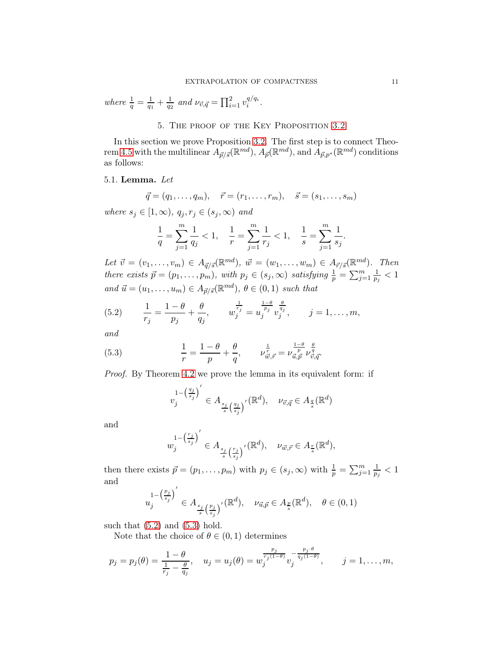<span id="page-10-0"></span>where  $\frac{1}{q} = \frac{1}{q_1}$  $\frac{1}{q_1} + \frac{1}{q_2}$  $\frac{1}{q_2}$  and  $\nu_{\vec{v},\vec{q}} = \prod_{i=1}^2 v_i^{q/q_i}$  $\frac{q}{i}$ .

# 5. The proof of the Key Proposition [3.2](#page-7-0)

In this section we prove Proposition [3.2.](#page-7-0) The first step is to connect Theo-rem [4.5](#page-9-0) with the multilinear  $A_{\vec{p}/\vec{s}}(\mathbb{R}^{md})$ ,  $A_{\vec{p}}(\mathbb{R}^{md})$ , and  $A_{\vec{p},p^*}(\mathbb{R}^{md})$  conditions as follows:

## <span id="page-10-3"></span>5.1. Lemma. Let

$$
\vec{q} = (q_1, \ldots, q_m), \quad \vec{r} = (r_1, \ldots, r_m), \quad \vec{s} = (s_1, \ldots, s_m)
$$

where  $s_j \in [1,\infty)$ ,  $q_j, r_j \in (s_j,\infty)$  and

$$
\frac{1}{q} = \sum_{j=1}^{m} \frac{1}{q_j} < 1, \quad \frac{1}{r} = \sum_{j=1}^{m} \frac{1}{r_j} < 1, \quad \frac{1}{s} = \sum_{j=1}^{m} \frac{1}{s_j}.
$$

Let  $\vec{v} = (v_1, \dots, v_m) \in A_{\vec{q}/\vec{s}}(\mathbb{R}^{md}), \ \vec{w} = (w_1, \dots, w_m) \in A_{\vec{r}/\vec{s}}(\mathbb{R}^{md}).$  Then there exists  $\vec{p} = (p_1, \ldots, p_m)$ , with  $p_j \in (s_j, \infty)$  satisfying  $\frac{1}{p} = \sum_{j=1}^m \frac{1}{p_j}$  $\frac{1}{p_j} < 1$ and  $\vec{u} = (u_1, \dots, u_m) \in A_{\vec{p}/\vec{s}}(\mathbb{R}^{md}), \theta \in (0,1)$  such that

<span id="page-10-1"></span>(5.2) 
$$
\frac{1}{r_j} = \frac{1-\theta}{p_j} + \frac{\theta}{q_j}, \qquad w_j^{\frac{1}{r_j}} = u_j^{\frac{1-\theta}{p_j}} v_j^{\frac{\theta}{q_j}}, \qquad j = 1, ..., m,
$$

and

(5.3) 
$$
\frac{1}{r} = \frac{1-\theta}{p} + \frac{\theta}{q}, \qquad \nu_{\vec{w},\vec{r}}^{\frac{1}{r}} = \nu_{\vec{u},\vec{p}}^{\frac{1-\theta}{p}} \nu_{\vec{v},\vec{q}}^{\frac{\theta}{q}}.
$$

Proof. By Theorem [4.2](#page-8-1) we prove the lemma in its equivalent form: if

<span id="page-10-2"></span>
$$
v_j^{1 - \left(\frac{q_j}{s_j}\right)'} \in A_{\frac{s_j}{s}\left(\frac{q_j}{s_j}\right)'}(\mathbb{R}^d), \quad \nu_{\vec{v},\vec{q}} \in A_{\frac{q}{s}}(\mathbb{R}^d)
$$

and

$$
w_j^{1-\left(\frac{r_j}{s_j}\right)'} \in A_{\frac{s_j}{s}\left(\frac{r_j}{s_j}\right)'}(\mathbb{R}^d), \quad \nu_{\vec{w},\vec{r}} \in A_{\frac{r}{s}}(\mathbb{R}^d),
$$

then there exists  $\vec{p} = (p_1, \ldots, p_m)$  with  $p_j \in (s_j, \infty)$  with  $\frac{1}{p} = \sum_{j=1}^m \frac{1}{p_j}$  $\frac{1}{p_j} < 1$ and

$$
u_j^{1-\left(\frac{p_j}{s_j}\right)'} \in A_{\frac{s_j}{s}\left(\frac{p_j}{s_j}\right)'}(\mathbb{R}^d), \quad \nu_{\vec{u},\vec{p}} \in A_{\frac{p}{s}}(\mathbb{R}^d), \quad \theta \in (0,1)
$$

such that  $(5.2)$  and  $(5.3)$  hold.

Note that the choice of  $\theta \in (0, 1)$  determines

$$
p_j = p_j(\theta) = \frac{1-\theta}{\frac{1}{r_j} - \frac{\theta}{q_j}}, \quad u_j = u_j(\theta) = w_j^{\frac{p_j}{r_j(1-\theta)}} v_j^{-\frac{p_j \cdot \theta}{q_j(1-\theta)}}, \qquad j = 1, \ldots, m,
$$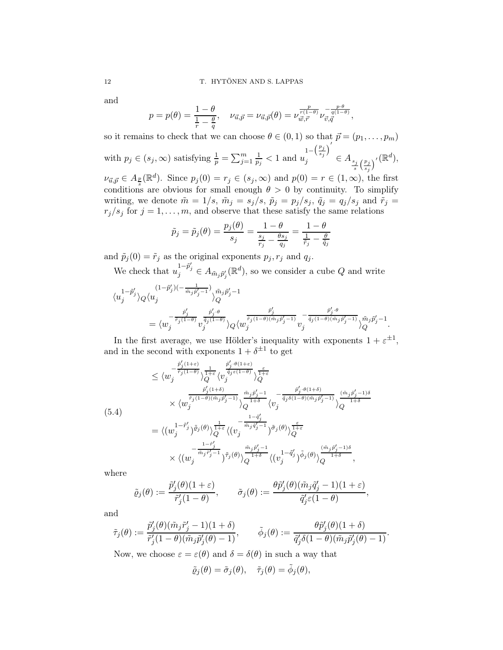and

$$
p = p(\theta) = \frac{1-\theta}{\frac{1}{r} - \frac{\theta}{q}}, \quad \nu_{\vec{u},\vec{p}} = \nu_{\vec{u},\vec{p}}(\theta) = \nu_{\vec{w},\vec{r}}^{\frac{p}{r(1-\theta)}} \nu_{\vec{v},\vec{q}}^{-\frac{p\cdot\theta}{q(1-\theta)}},
$$

so it remains to check that we can choose  $\theta \in (0, 1)$  so that  $\vec{p} = (p_1, \ldots, p_m)$ with  $p_j \in (s_j, \infty)$  satisfying  $\frac{1}{p} = \sum_{j=1}^m \frac{1}{p_j}$  $\frac{1}{p_j} < 1 \text{ and } u_j^{-\left(\frac{p_j}{s_j}\right)^{\prime}}$  $j \in A_{\frac{s_j}{s}(\frac{p_j}{s_j})'}(\mathbb{R}^d),$ 

 $\nu_{\vec{u},\vec{p}} \in A_{\frac{p}{s}}(\mathbb{R}^d)$ . Since  $p_j(0) = r_j \in (s_j, \infty)$  and  $p(0) = r \in (1, \infty)$ , the first conditions are obvious for small enough  $\theta > 0$  by continuity. To simplify writing, we denote  $\tilde{m} = 1/s$ ,  $\tilde{m}_j = s_j/s$ ,  $\tilde{p}_j = p_j/s_j$ ,  $\tilde{q}_j = q_j/s_j$  and  $\tilde{r}_j =$  $r_j/s_j$  for  $j = 1, ..., m$ , and observe that these satisfy the same relations

$$
\tilde{p}_j = \tilde{p}_j(\theta) = \frac{p_j(\theta)}{s_j} = \frac{1-\theta}{\frac{s_j}{r_j} - \frac{\theta s_j}{q_j}} = \frac{1-\theta}{\frac{1}{\tilde{r}_j} - \frac{\theta}{\tilde{q}_j}}
$$

and  $\tilde{p}_j(0) = \tilde{r}_j$  as the original exponents  $p_j, r_j$  and  $q_j$ . We check that  $u_j^{1-\tilde{p}'_j} \in A_{\tilde{m}_j\tilde{p}'_j}(\mathbb{R}^d)$ , so we consider a cube Q and write

$$
\begin{split} \langle u_j^{1-\tilde{p}'_j}\rangle_Q \langle u_j^{(1-\tilde{p}'_j)(-\frac{1}{\tilde{m}_j\tilde{p}'_j-1})} \rangle_Q^{\tilde{m}_j\tilde{p}'_j-1} \\ = \langle w_j^{-\frac{\tilde{p}'_j}{\tilde{r}_j(1-\theta)}}v_j^{\frac{\tilde{p}'_j+\theta}{\tilde{q}_j(1-\theta)}} \rangle_Q \langle w_j^{\frac{\tilde{p}'_j}{\tilde{r}_j(1-\theta)(\tilde{m}_j\tilde{p}'_j-1)}}v_j^{-\frac{\tilde{p}'_j+\theta}{\tilde{q}_j(1-\theta)(\tilde{m}_j\tilde{p}'_j-1)}} \rangle_Q^{\tilde{m}_j\tilde{p}'_j-1}. \end{split}
$$

In the first average, we use Hölder's inequality with exponents  $1 + \varepsilon^{\pm 1}$ , and in the second with exponents  $1 + \delta^{\pm 1}$  to get

<span id="page-11-0"></span>
$$
\leq \langle w_j^{-\frac{\tilde{p}'_j(1+\varepsilon)}{\tilde{r}_j(1-\theta)}}\rangle^{\frac{1}{1+\varepsilon}}_{Q} \langle v_j^{\frac{\tilde{p}'_j(\theta(1+\varepsilon)}{\tilde{q}_j\varepsilon(1-\theta)}}\rangle^{\frac{\varepsilon}{1+\varepsilon}}_{Q} \n\times \langle w_j^{\frac{\tilde{r}_j(1+\delta)}{\tilde{r}_j(1-\theta)(\tilde{m}_j\tilde{p}'_j-1)}}\rangle^{\frac{\tilde{m}_j\tilde{p}'_j-1}{1+\delta}}_{Q} \langle v_j^{-\frac{\tilde{p}'_j(\theta(1+\delta)}{\tilde{q}_j\delta(1-\theta)(\tilde{m}_j\tilde{p}'_j-1)}}\rangle^{\frac{(\tilde{m}_j\tilde{p}'_j-1)\delta}{1+\delta}}_{Q} \rangle^{\frac{(\tilde{m}_j\tilde{p}'_j-1)\delta}{1+\delta}}_{Q} \n= \langle (w_j^{1-\tilde{r}'_j})^{\tilde{\varrho}_j(\theta)}\rangle^{\frac{1}{1+\varepsilon}}_{Q} \langle (v_j^{-\frac{1-\tilde{q}'_j}{\tilde{m}_j\tilde{q}'_j-1}})\tilde{\sigma}_j(\theta)\rangle^{\frac{\varepsilon}{1+\varepsilon}}_{Q} \n\times \langle (w_j^{-\frac{1-\tilde{r}'_j}{\tilde{m}_j\tilde{r}'_j-1}}\rangle^{\tilde{r}_j(\theta)}\rangle^{\frac{\tilde{m}_j\tilde{p}'_j-1}{1+\delta}}_{Q} \langle (v_j^{1-\tilde{q}'_j})^{\tilde{\phi}_j(\theta)}\rangle^{\frac{(\tilde{m}_j\tilde{p}'_j-1)\delta}{1+\delta}},
$$

where

$$
\tilde{\varrho}_j(\theta):=\frac{\tilde{p}'_j(\theta)(1+\varepsilon)}{\tilde{r}'_j(1-\theta)},\qquad \tilde{\sigma}_j(\theta):=\frac{\theta \tilde{p}'_j(\theta)(\tilde{m}_j\tilde{q}'_j-1)(1+\varepsilon)}{\tilde{q}'_j\varepsilon(1-\theta)},
$$

and

$$
\tilde{\tau}_j(\theta) := \frac{\tilde{p}'_j(\theta)(\tilde{m}_j \tilde{r}'_j - 1)(1 + \delta)}{\tilde{r}'_j(1 - \theta)(\tilde{m}_j \tilde{p}'_j(\theta) - 1)}, \qquad \tilde{\phi}_j(\theta) := \frac{\theta \tilde{p}'_j(\theta)(1 + \delta)}{\tilde{q}'_j \delta(1 - \theta)(\tilde{m}_j \tilde{p}'_j(\theta) - 1)}.
$$

Now, we choose  $\varepsilon = \varepsilon(\theta)$  and  $\delta = \delta(\theta)$  in such a way that

$$
\tilde{\varrho}_j(\theta) = \tilde{\sigma}_j(\theta), \quad \tilde{\tau}_j(\theta) = \tilde{\phi}_j(\theta),
$$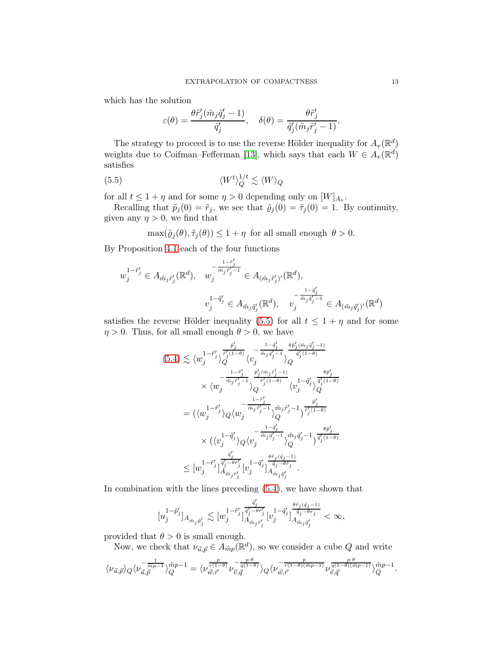which has the solution

<span id="page-12-0"></span>
$$
\varepsilon(\theta) = \frac{\theta \tilde{r}'_j(\tilde{m}_j \tilde{q}'_j - 1)}{\tilde{q}'_j}, \quad \delta(\theta) = \frac{\theta \tilde{r}'_j}{\tilde{q}'_j(\tilde{m}_j \tilde{r}'_j - 1)}.
$$

The strategy to proceed is to use the reverse Hölder inequality for  $A_v(\mathbb{R}^d)$ weights due to Coifman–Fefferman [\[13\]](#page-24-6), which says that each  $W \in A_v(\mathbb{R}^d)$ satisfies

$$
(5.5) \t\t \langle W^t \rangle_Q^{1/t} \lesssim \langle W \rangle_Q
$$

for all  $t \leq 1 + \eta$  and for some  $\eta > 0$  depending only on  $[W]_{A_v}$ .

Recalling that  $\tilde{p}_j(0) = \tilde{r}_j$ , we see that  $\tilde{q}_j(0) = \tilde{r}_j(0) = 1$ . By continuity, given any  $\eta > 0$ , we find that

 $\max(\tilde{\varrho}_j(\theta), \tilde{\tau}_j(\theta)) \leq 1 + \eta$  for all small enough  $\theta > 0$ .

By Proposition [4.1](#page-8-2) each of the four functions

$$
w_j^{1-\tilde{r}'_j} \in A_{\tilde{m}_j \tilde{r}'_j}(\mathbb{R}^d), \quad w_j^{-\frac{1-\tilde{r}'_j}{\tilde{m}_j \tilde{r}'_j - 1}} \in A_{(\tilde{m}_j \tilde{r}'_j)'}(\mathbb{R}^d),
$$
  

$$
v_j^{1-\tilde{q}'_j} \in A_{\tilde{m}_j \tilde{q}'_j}(\mathbb{R}^d), \quad v_j^{-\frac{1-\tilde{q}'_j}{\tilde{m}_j \tilde{q}'_j - 1}} \in A_{(\tilde{m}_j \tilde{q}'_j)'}(\mathbb{R}^d)
$$

satisfies the reverse Hölder inequality [\(5.5\)](#page-12-0) for all  $t \leq 1 + \eta$  and for some  $\eta > 0$ . Thus, for all small enough  $\theta > 0$ , we have

$$
(5.4) \lesssim \langle w_j^{1-\tilde{r}'_j} \rangle_Q^{\frac{\tilde{r}'_j}{\tilde{r}'_j(1-\theta)}} \langle v_j^{-\frac{1-\tilde{q}'_j}{\tilde{m}_j\tilde{q}'_j-1}} \rangle_Q^{\frac{\theta \tilde{r}'_j(\tilde{m}_j\tilde{q}'_j-1)}{\tilde{q}'_j(1-\theta)}} \\ \times \langle w_j^{-\frac{1-\tilde{r}'_j}{\tilde{m}_j\tilde{r}'_j-1}} \rangle_Q^{\frac{\tilde{r}'_j(\tilde{m}_j\tilde{r}'_j-1)}{\tilde{r}'_j(1-\theta)}} \langle v_j^{1-\tilde{q}'_j} \rangle_Q^{\frac{\theta \tilde{r}'_j}{\tilde{q}'_j(1-\theta)}} \\ = \langle \langle w_j^{1-\tilde{r}'_j} \rangle_Q \langle w_j^{-\frac{1-\tilde{r}'_j}{\tilde{m}_j\tilde{r}'_j-1}} \rangle_Q^{\tilde{m}_j\tilde{r}'_j-1} \rangle_{Q}^{\tilde{r}_j\tilde{r}'_j-1} \rangle_{\frac{\tilde{r}'_j}{\tilde{r}'_j(1-\theta)}}^{\frac{\tilde{r}'_j}{\tilde{r}'_j(1-\theta)}} \\ \times \langle \langle v_j^{1-\tilde{q}'_j} \rangle_Q \langle v_j^{-\frac{1-\tilde{q}'_j}{\tilde{m}_j\tilde{q}'_j-1}} \rangle_Q^{\tilde{m}_j\tilde{q}'_j-1} \rangle_{\frac{\tilde{q}'_j}{\tilde{q}'_j(1-\theta)}}^{\tilde{r}'_j} \\ \leq [w_j^{1-\tilde{r}'_j}]_{A_{\tilde{m}_j\tilde{r}'_j}^{\frac{\tilde{q}'_j}{\tilde{q}'_j-1}} \langle v_j^{1-\tilde{q}'_j} \rangle_{A_{\tilde{m}_j\tilde{q}'_j}^{\frac{\theta \tilde{r}_j(\tilde{q}_j-1)}{\tilde{q}'_j-\theta \tilde{r}_j}}^{\frac{\theta \tilde{r}_j}{\tilde{q}'_j(1-\theta)}}
$$

In combination with the lines preceding [\(5.4\)](#page-11-0), we have shown that

$$
[u_j^{1-\tilde{p}'_j}]_{A_{\tilde{m}_j\tilde{p}'_j}}\lesssim [w_j^{1-\tilde{r}'_j}]_{A_{\tilde{m}_j\tilde{r}'_j}}^{\frac{\tilde{q}'_j}{\tilde{q}'_j-\theta\tilde{r}'_j}}[v_j^{1-\tilde{q}'_j}]_{A_{\tilde{m}_j\tilde{q}'_j}^{\frac{\tilde{q}_j-\tilde{q}_j-1)}{\tilde{q}_j-\theta r_j}}<\infty,
$$

provided that  $\theta > 0$  is small enough.

Now, we check that  $\nu_{\vec{u}, \vec{p}} \in A_{\tilde{m}p}(\mathbb{R}^d)$ , so we consider a cube Q and write

$$
\langle \nu_{\vec u, \vec p} \rangle_Q \langle \nu_{\vec u, \vec p}^{-\frac{1}{\vec m p-1}} \rangle_Q^{\tilde m p-1} = \langle \nu_{\vec w, \vec r}^{-\frac{p}{q(1-\theta)}} \nu_{\vec v, \vec q}^{-\frac{p \cdot \theta}{q(1-\theta)}} \rangle_Q \langle \nu_{\vec w, \vec r}^{-\frac{p}{r(1-\theta)(\tilde m p-1)}} \nu_{\vec v, \vec q}^{\frac{p \cdot \theta}{q(1-\theta)(\tilde m p-1)}} \rangle_Q^{\tilde m p-1}.
$$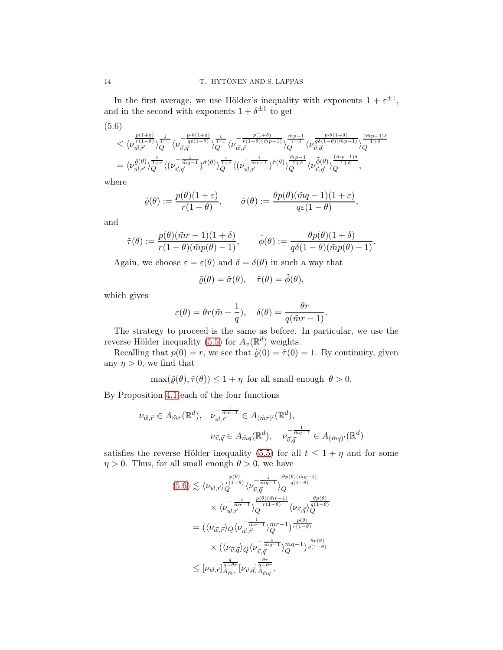In the first average, we use Hölder's inequality with exponents  $1 + \varepsilon^{\pm 1}$ , and in the second with exponents  $1 + \delta^{\pm 1}$  to get

<span id="page-13-0"></span>
$$
(5.6)
$$
\n
$$
\leq \langle \nu_{\vec{w},\vec{r}}^{\frac{p(1+\varepsilon)}{r(1-\theta)}} \rangle_{Q}^{\frac{1}{1+\varepsilon}} \langle \nu_{\vec{v},\vec{q}}^{-\frac{p\cdot\theta(1+\varepsilon)}{q\varepsilon(1-\theta)}} \rangle_{Q}^{\frac{\varepsilon}{1+\varepsilon}} \langle \nu_{\vec{w},\vec{r}}^{-\frac{p(1+\delta)}{r(1-\theta)(\tilde{m}p-1)}} \rangle_{Q}^{\frac{\tilde{m}p-1}{1+\delta}} \langle \nu_{\vec{v},\vec{q}}^{\frac{p\cdot\theta(1+\delta)}{q(\delta(1-\theta)(\tilde{m}p-1)}} \rangle_{Q}^{\frac{(\tilde{m}p-1)\delta}{1+\delta}}
$$
\n
$$
= \langle \nu_{\vec{w},\vec{r}}^{\tilde{\varrho}(\theta)} \rangle_{Q}^{\frac{1}{1+\varepsilon}} \langle (\nu_{\vec{v},\vec{q}}^{-\frac{1}{\tilde{m}q-1}})^{\tilde{\sigma}(\theta)} \rangle_{Q}^{\frac{\varepsilon}{1+\varepsilon}} \langle (\nu_{\vec{w},\vec{r}}^{-\frac{1}{\tilde{m}r-1}})^{\tilde{\tau}(\theta)} \rangle_{Q}^{\frac{\tilde{m}p-1}{1+\delta}} \langle \nu_{\vec{v},\vec{q}}^{\tilde{\phi}(\theta)} \rangle_{Q}^{\frac{(\tilde{m}p-1)\delta}{1+\delta}},
$$

where

$$
\tilde{\varrho}(\theta) := \frac{p(\theta)(1+\varepsilon)}{r(1-\theta)}, \qquad \tilde{\sigma}(\theta) := \frac{\theta p(\theta)(\tilde{m}q-1)(1+\varepsilon)}{q\varepsilon(1-\theta)},
$$

and

$$
\tilde{\tau}(\theta) := \frac{p(\theta)(\tilde{m}r - 1)(1 + \delta)}{r(1 - \theta)(\tilde{m}p(\theta) - 1)}, \qquad \tilde{\phi}(\theta) := \frac{\theta p(\theta)(1 + \delta)}{q\delta(1 - \theta)(\tilde{m}p(\theta) - 1)}.
$$

Again, we choose  $\varepsilon = \varepsilon(\theta)$  and  $\delta = \delta(\theta)$  in such a way that

$$
\tilde{\varrho}(\theta) = \tilde{\sigma}(\theta), \quad \tilde{\tau}(\theta) = \tilde{\phi}(\theta),
$$

which gives

$$
\varepsilon(\theta) = \theta r(\tilde{m} - \frac{1}{q}), \quad \delta(\theta) = \frac{\theta r}{q(\tilde{m}r - 1)}.
$$

The strategy to proceed is the same as before. In particular, we use the reverse Hölder inequality [\(5.5\)](#page-12-0) for  $A_v(\mathbb{R}^d)$  weights.

Recalling that  $p(0) = r$ , we see that  $\tilde{\rho}(0) = \tilde{\tau}(0) = 1$ . By continuity, given any  $\eta > 0$ , we find that

 $\max(\tilde{\varrho}(\theta), \tilde{\tau}(\theta)) \leq 1 + \eta$  for all small enough  $\theta > 0$ .

By Proposition [4.1](#page-8-2) each of the four functions

$$
\nu_{\vec{w},\vec{r}} \in A_{\tilde{m}r}(\mathbb{R}^d), \quad \nu_{\vec{w},\vec{r}}^{-\frac{1}{\tilde{m}r-1}} \in A_{(\tilde{m}r)'}(\mathbb{R}^d),
$$

$$
\nu_{\vec{v},\vec{q}} \in A_{\tilde{m}q}(\mathbb{R}^d), \quad \nu_{\vec{v},\vec{q}}^{-\frac{1}{\tilde{m}q-1}} \in A_{(\tilde{m}q)'}(\mathbb{R}^d)
$$

satisfies the reverse Hölder inequality [\(5.5\)](#page-12-0) for all  $t \leq 1 + \eta$  and for some  $\eta > 0$ . Thus, for all small enough  $\theta > 0$ , we have

$$
(5.6) \lesssim \langle \nu_{\vec{w},\vec{r}} \rangle_Q^{\frac{p(\theta)}{r(1-\theta)}} \langle \nu_{\vec{v},\vec{q}}^{-\frac{1}{\tilde{m}_q-1}} \rangle_Q^{\frac{\theta p(\theta)(\tilde{m}_q-1)}{q(1-\theta)}}
$$
  
\n
$$
\times \langle \nu_{\vec{w},\vec{r}}^{-\frac{1}{\tilde{m}_r-1}} \rangle_Q^{\frac{p(\theta)(\tilde{m}_r-1)}{r(1-\theta)}} \langle \nu_{\vec{v},\vec{q}} \rangle_Q^{\frac{\theta p(\theta)}{q(1-\theta)}}
$$
  
\n
$$
= (\langle \nu_{\vec{w},\vec{r}} \rangle_Q \langle \nu_{\vec{w},\vec{r}}^{-\frac{1}{\tilde{m}_r-1}} \rangle_Q^{\tilde{m}_r-1})^{\tilde{r}(1-\theta)}^{\frac{p(\theta)}{r(1-\theta)}}
$$
  
\n
$$
\times (\langle \nu_{\vec{v},\vec{q}} \rangle_Q \langle \nu_{\vec{v},\vec{q}}^{-\frac{1}{\tilde{m}_q-1}} \rangle_Q^{\tilde{m}_q-1})^{\tilde{m}_q-1} \rangle_{q(1-\theta)}^{\frac{\theta p(\theta)}{q(1-\theta)}}
$$
  
\n
$$
\leq [\nu_{\vec{w},\vec{r}}]_{A_{\tilde{m}_r}}^{\frac{q}{q-\theta r}} [\nu_{\vec{v},\vec{q}}]_{A_{\tilde{m}_q}}^{\frac{\theta r}{q-\theta r}}.
$$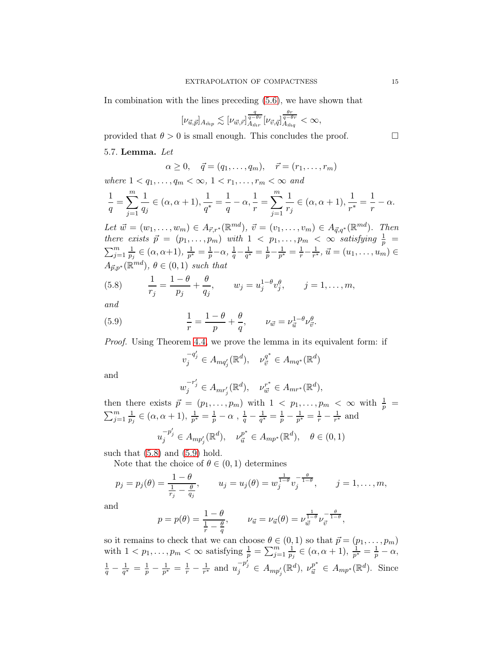In combination with the lines preceding [\(5.6\)](#page-13-0), we have shown that

$$
[\nu_{\vec{u},\vec{p}}]_{A_{\vec{m}p}} \lesssim [\nu_{\vec{w},\vec{r}}]_{A_{\vec{m}r}}^{\frac{q}{q-\theta r}} [\nu_{\vec{v},\vec{q}}]_{A_{\vec{m}q}}^{\frac{\theta r}{q-\theta r}} < \infty,
$$

provided that  $\theta > 0$  is small enough. This concludes the proof.

#### 5.7. Lemma. Let

$$
\alpha \ge 0, \quad \vec{q} = (q_1, \ldots, q_m), \quad \vec{r} = (r_1, \ldots, r_m)
$$

where  $1 < q_1, \ldots, q_m < \infty, 1 < r_1, \ldots, r_m < \infty$  and

$$
\frac{1}{q} = \sum_{j=1}^{m} \frac{1}{q_j} \in (\alpha, \alpha + 1), \frac{1}{q^*} = \frac{1}{q} - \alpha, \frac{1}{r} = \sum_{j=1}^{m} \frac{1}{r_j} \in (\alpha, \alpha + 1), \frac{1}{r^*} = \frac{1}{r} - \alpha.
$$

Let  $\vec{w} = (w_1, \dots, w_m) \in A_{\vec{r},r^*}(\mathbb{R}^{md}), \ \vec{v} = (v_1, \dots, v_m) \in A_{\vec{q},q^*}(\mathbb{R}^{md}).$  Then there exists  $\vec{p} = (p_1, ..., p_m)$  with  $1 < p_1, ..., p_m < \infty$  satisfying  $\frac{1}{p} = \sum_{j=1}^m \frac{1}{p_j} \in (\alpha, \alpha+1), \frac{1}{p^*} = \frac{1}{p} - \alpha, \frac{1}{q} - \frac{1}{q^*} = \frac{1}{p} - \frac{1}{p^*} = \frac{1}{r} - \frac{1}{r^*}, \vec{u} = (u_1, ..., u_m) \in$  $\frac{1}{p_j} \in (\alpha, \alpha+1), \frac{1}{p^*}$  $\frac{1}{p^*} = \frac{1}{p} - \alpha, \frac{1}{q} - \frac{1}{q^*}$  $\frac{1}{q^*} = \frac{1}{p} - \frac{1}{p^*}$  $\frac{1}{p^*} = \frac{1}{r} - \frac{1}{r^*}$  $\frac{1}{r^*}, \, \vec{u} = (u_1, \ldots, u_m) \in$  $A_{\vec{p},p^*}(\mathbb{R}^{md}), \theta \in (0,1)$  such that

<span id="page-14-0"></span>(5.8) 
$$
\frac{1}{r_j} = \frac{1-\theta}{p_j} + \frac{\theta}{q_j}, \qquad w_j = u_j^{1-\theta}v_j^{\theta}, \qquad j = 1, ..., m,
$$

and

(5.9) 
$$
\frac{1}{r} = \frac{1 - \theta}{p} + \frac{\theta}{q}, \qquad \nu_{\vec{w}} = \nu_{\vec{u}}^{1 - \theta} \nu_{\vec{v}}^{\theta}.
$$

Proof. Using Theorem [4.4,](#page-8-3) we prove the lemma in its equivalent form: if

<span id="page-14-1"></span>
$$
v_j^{-q'_j} \in A_{mq'_j}(\mathbb{R}^d), \quad \nu_{\vec{v}}^{q^*} \in A_{mq^*}(\mathbb{R}^d)
$$

and

$$
w_j^{-r'_j} \in A_{mr'_j}(\mathbb{R}^d), \quad \nu_{\vec{w}}^{r^*} \in A_{mr^*}(\mathbb{R}^d),
$$

then there exists  $\vec{p} = (p_1, ..., p_m)$  with  $1 < p_1, ..., p_m < \infty$  with  $\frac{1}{p} = \sum_{j=1}^m \frac{1}{p_j} \in (\alpha, \alpha + 1), \frac{1}{p^*} = \frac{1}{p} - \alpha, \frac{1}{q} - \frac{1}{q^*} = \frac{1}{p} - \frac{1}{p^*} = \frac{1}{r} - \frac{1}{r^*}$  and  $\frac{1}{p_j}\in (\alpha,\alpha+1),\, \frac{1}{p^s}$  $\frac{1}{p^*} = \frac{1}{p} - \alpha \,\, , \, \frac{1}{q} - \frac{1}{q^*}$  $\frac{1}{q^*}=\frac{1}{p}-\frac{1}{p^*}$  $\frac{1}{p^*}=\frac{1}{r}-\frac{1}{r^*}$  $\frac{1}{r^*}$  and ′ ∗

$$
u_j^{-p'_j} \in A_{mp'_j}(\mathbb{R}^d), \quad \nu_{\vec{u}}^{p^*} \in A_{mp^*}(\mathbb{R}^d), \quad \theta \in (0,1)
$$

such that  $(5.8)$  and  $(5.9)$  hold.

Note that the choice of  $\theta \in (0,1)$  determines

$$
p_j = p_j(\theta) = \frac{1-\theta}{\frac{1}{r_j} - \frac{\theta}{q_j}},
$$
  $u_j = u_j(\theta) = w_j^{\frac{1}{1-\theta}} v_j^{-\frac{\theta}{1-\theta}},$   $j = 1,..., m,$ 

and

$$
p = p(\theta) = \frac{1-\theta}{\frac{1}{r} - \frac{\theta}{q}}, \qquad \nu_{\vec{u}} = \nu_{\vec{u}}(\theta) = \nu_{\vec{w}}^{\frac{1}{1-\theta}} \nu_{\vec{v}}^{-\frac{\theta}{1-\theta}},
$$

so it remains to check that we can choose  $\theta \in (0, 1)$  so that  $\vec{p} = (p_1, \ldots, p_m)$ with  $1 < p_1, \ldots, p_m < \infty$  satisfying  $\frac{1}{p} = \sum_{j=1}^m \frac{1}{p_j}$  $\frac{1}{p_j}\in (\alpha,\alpha+1),\,\frac{1}{p^s}$  $\frac{1}{p^*} = \frac{1}{p} - \alpha,$  $\frac{1}{q} - \frac{1}{q^*}$  $\frac{1}{q^*} = \frac{1}{p} - \frac{1}{p^*}$  $\frac{1}{p^*} = \frac{1}{r} - \frac{1}{r^*}$  $\frac{1}{r^*}$  and  $u_j^{-p'_j} \in A_{mp'_j}(\mathbb{R}^d)$ ,  $\nu_{\vec{u}}^{p^*} \in A_{mp^*}(\mathbb{R}^d)$ . Since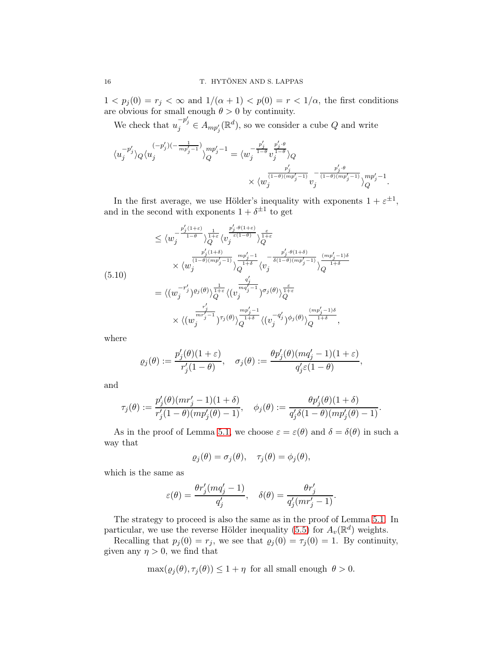$1 < p_i(0) = r_i < \infty$  and  $1/(\alpha + 1) < p(0) = r < 1/\alpha$ , the first conditions are obvious for small enough  $\theta > 0$  by continuity.

We check that  $u_j^{-p'_j} \in A_{mp'_j}(\mathbb{R}^d)$ , so we consider a cube Q and write

$$
\begin{split} \langle u_j^{-p'_j}\rangle_Q\langle u_j^{(-p'_j)(-\frac{1}{mp'_j-1})}\rangle_Q^{mp'_j-1} &=\langle w_j^{-\frac{p'_j}{1-\theta}}v_j^{\frac{p'_j\cdot\theta}{1-\theta}}\rangle_Q\\ &\times\langle w_j^{\frac{p'_j}{(1-\theta)(mp'_j-1)}}v_j^{-\frac{p'_j\cdot\theta}{(1-\theta)(mp'_j-1)}}\rangle_Q^{mp'_j-1}. \end{split}
$$

In the first average, we use Hölder's inequality with exponents  $1 + \varepsilon^{\pm 1}$ , and in the second with exponents  $1 + \delta^{\pm 1}$  to get

<span id="page-15-0"></span>
$$
\leq \langle w_j^{-\frac{p'_j(1+\varepsilon)}{1-\theta}} \rangle_Q^{\frac{1}{1+\varepsilon}} \langle v_j^{\frac{e'_j(\theta(1+\varepsilon)}{\varepsilon(1-\theta)}} \rangle_Q^{\frac{\varepsilon}{1+\varepsilon}} \times \langle w_j^{\frac{p'_j(1+\delta)}{(1-\theta)(mp'_j-1)}} \rangle_Q^{\frac{mp'_j-1}{2+\delta}} \langle v_j^{-\frac{p'_j(\theta(1+\delta))}{\delta(1-\theta)(mp'_j-1)}} \rangle_Q^{\frac{(mp'_j-1)\delta}{(1+\delta)}} \times \langle w_j^{-(1-\delta)(mp'_j-1)} \rangle_Q^{\frac{q'_j}{2+\delta}} \langle v_j^{-\frac{p'_j(\theta(1+\delta))}{\delta(1-\theta)(mp'_j-1)}} \rangle_Q^{\frac{(mp'_j-1)\delta}{1+\delta}} \times \langle (w_j^{-r'_j})^{\frac{p_j}{2+\delta}} \rangle_{Q}^{\frac{mp'_j-1}{2+\delta}} \langle (v_j^{-q'_j})^{\phi_j(\theta)} \rangle_Q^{\frac{(mp'_j-1)\delta}{1+\delta}},
$$

where

$$
\varrho_j(\theta):=\frac{p_j'(\theta)(1+\varepsilon)}{r_j'(1-\theta)},\quad \sigma_j(\theta):=\frac{\theta p_j'(\theta)(mq_j'-1)(1+\varepsilon)}{q_j'\varepsilon(1-\theta)},
$$

and

$$
\tau_j(\theta) := \frac{p_j'(\theta)(mr_j'-1)(1+\delta)}{r_j'(1-\theta)(mp_j'(\theta)-1)}, \quad \phi_j(\theta) := \frac{\theta p_j'(\theta)(1+\delta)}{q_j'\delta(1-\theta)(mp_j'(\theta)-1)}.
$$

As in the proof of Lemma [5.1,](#page-10-3) we choose  $\varepsilon = \varepsilon(\theta)$  and  $\delta = \delta(\theta)$  in such a way that

$$
\varrho_j(\theta) = \sigma_j(\theta), \quad \tau_j(\theta) = \phi_j(\theta),
$$

which is the same as

$$
\varepsilon(\theta) = \frac{\theta r'_j (m q'_j - 1)}{q'_j}, \quad \delta(\theta) = \frac{\theta r'_j}{q'_j (m r'_j - 1)}.
$$

The strategy to proceed is also the same as in the proof of Lemma [5.1.](#page-10-3) In particular, we use the reverse Hölder inequality [\(5.5\)](#page-12-0) for  $A_v(\mathbb{R}^d)$  weights.

Recalling that  $p_j(0) = r_j$ , we see that  $\varrho_j(0) = \tau_j(0) = 1$ . By continuity, given any  $\eta > 0$ , we find that

$$
\max(\varrho_j(\theta), \tau_j(\theta)) \le 1 + \eta \text{ for all small enough } \theta > 0.
$$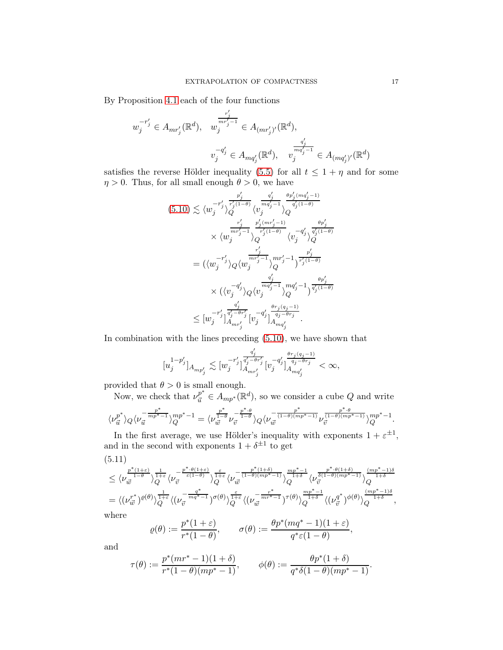By Proposition [4.1](#page-8-2) each of the four functions

$$
w_j^{-r'_j} \in A_{mr'_j}(\mathbb{R}^d), \quad w_j^{\frac{r'_j}{mr'_j-1}} \in A_{(mr'_j)'}(\mathbb{R}^d),
$$

$$
v_j^{-q'_j} \in A_{mq'_j}(\mathbb{R}^d), \quad v_j^{\frac{q'_j}{mq'_j-1}} \in A_{(mq'_j)'}(\mathbb{R}^d)
$$

satisfies the reverse Hölder inequality [\(5.5\)](#page-12-0) for all  $t \leq 1 + \eta$  and for some  $\eta > 0$ . Thus, for all small enough  $\theta > 0$ , we have

$$
(5.10) \lesssim \langle w_j^{-r'_j} \rangle_Q^{\frac{p'_j}{r'_j(1-\theta)}} \langle v_j^{\frac{q'_j}{mq'_j-1}} \rangle_Q^{\frac{\theta p'_j(mq'_j-1)}{q'_j(1-\theta)}} \times \langle w_j^{\frac{r'_j}{mr'_j-1}} \rangle_Q^{\frac{p'_j(mr'_j-1)}{r'_j(1-\theta)}} \langle v_j^{-q'_j} \rangle_Q^{\frac{\theta p'_j}{q'_j(1-\theta)}} = (\langle w_j^{-r'_j} \rangle_Q \langle w_j^{\frac{r'_j}{mr'_j-1}} \rangle_Q^{\frac{mr'_j-1}{mr'_j-1}} \rangle_Q^{\frac{p'_j}{r'_j(1-\theta)}} \times (\langle v_j^{-q'_j} \rangle_Q \langle v_j^{\frac{q'_j}{mq'_j-1}} \rangle_Q^{\frac{q'_j}{mq'_j-1}} \rangle_Q^{\frac{q'_j}{mq'_j-1}} \rangle_Q^{\frac{\theta p'_j}{q'_j(1-\theta)}} \leq [w_j^{-r'_j}]_{A_{mr'_j}}^{\frac{q'_j}{q'_j-\theta r'_j}} [v_j^{-q'_j}]_{A_{mq'_j}}^{\frac{\theta r_j(q_j-1)}{q_j-\theta r_j}}.
$$

In combination with the lines preceding [\(5.10\)](#page-15-0), we have shown that

$$
[u_j^{1-p_j'}]_{A_{mp_j'}} \lesssim [w_j^{-r_j'}]^{\frac{q_j'}{q_j'-\theta r_j'}}_{A_{mr_j'}} [v_j^{-q_j'}]^{\frac{\theta r_j(q_j-1)}{q_j-\theta r_j}}_{A_{mq_j'}} < \infty,
$$

provided that  $\theta > 0$  is small enough.<br>Now we check that  $\nu^{p^*} \in A_{\epsilon}(\mathbb{R}^d)$ 

Now, we check that 
$$
\nu_{\vec{u}}^p \in A_{mp^*}(\mathbb{R}^d)
$$
, so we consider a cube  $Q$  and write  $\langle \nu_{\vec{u}}^{p^*} \rangle_Q \langle \nu_{\vec{u}}^{-\frac{p^*}{mp^*-1}} \rangle_Q^{mp^*-1} = \langle \nu_{\vec{u}}^{\frac{p^*}{1-\theta}} \nu_{\vec{v}}^{-\frac{p^*+\theta}{1-\theta}} \rangle_Q \langle \nu_{\vec{u}}^{-\frac{p^*}{(1-\theta)(mp^*-1)}} \nu_{\vec{v}}^{\frac{p^*+\theta}{(1-\theta)(mp^*-1)}} \rangle_Q^{mp^*-1}.$ 

In the first average, we use Hölder's inequality with exponents  $1 + \varepsilon^{\pm 1}$ , and in the second with exponents  $1 + \delta^{\pm 1}$  to get

<span id="page-16-0"></span>
$$
(5.11)
$$
\n
$$
\leq \langle \nu_{\vec{w}}^{\frac{p^*(1+\varepsilon)}{1-\theta}} \rangle_{Q}^{\frac{1}{1+\varepsilon}} \langle \nu_{\vec{v}}^{-\frac{p^*(1+\varepsilon)}{\varepsilon(1-\theta)}} \rangle_{Q}^{\frac{\varepsilon}{1+\varepsilon}} \langle \nu_{\vec{w}}^{-\frac{p^*(1+\delta)}{(1-\theta)(mp^*-1)}} \rangle_{Q}^{\frac{mp^*-1}{1+\delta}} \langle \nu_{\vec{v}}^{\frac{p^*(1+\delta)}{3(1-\theta)(mp^*-1)}} \rangle_{Q}^{\frac{(mp^*-1)\delta}{1+\delta}}
$$
\n
$$
= \langle (\nu_{\vec{w}}^{r^*})^{\varrho(\theta)} \rangle_{Q}^{\frac{1}{1+\varepsilon}} \langle (\nu_{\vec{v}}^{-\frac{q^*}{mq^*-1}})^{\sigma(\theta)} \rangle_{Q}^{\frac{\varepsilon}{1+\varepsilon}} \langle (\nu_{\vec{w}}^{-\frac{r^*}{mr^*-1}})^{\tau(\theta)} \rangle_{Q}^{\frac{mp^*-1}{1+\delta}} \langle (\nu_{\vec{v}}^{q^*})^{\phi(\theta)} \rangle_{Q}^{\frac{(mp^*-1)\delta}{1+\delta}},
$$
\nwhere

W

$$
\varrho(\theta) := \frac{p^*(1+\varepsilon)}{r^*(1-\theta)}, \qquad \sigma(\theta) := \frac{\theta p^*(mq^*-1)(1+\varepsilon)}{q^*\varepsilon(1-\theta)},
$$

and

$$
\tau(\theta) := \frac{p^*(mr^*-1)(1+\delta)}{r^*(1-\theta)(mp^*-1)}, \qquad \phi(\theta) := \frac{\theta p^*(1+\delta)}{q^*\delta(1-\theta)(mp^*-1)}.
$$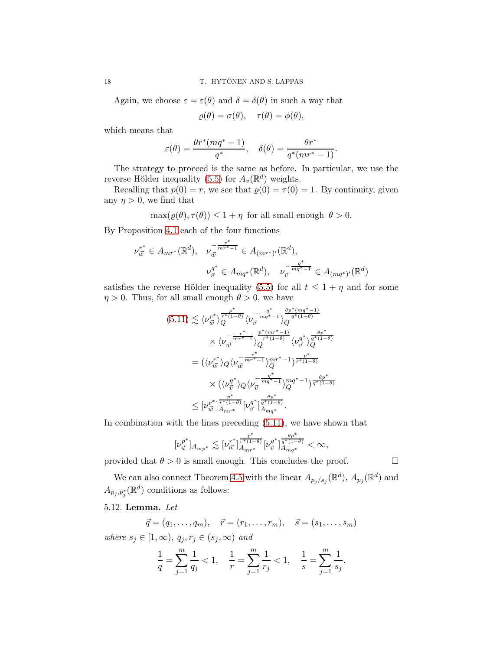Again, we choose  $\varepsilon = \varepsilon(\theta)$  and  $\delta = \delta(\theta)$  in such a way that

$$
\varrho(\theta) = \sigma(\theta), \quad \tau(\theta) = \phi(\theta),
$$

which means that

$$
\varepsilon(\theta) = \frac{\theta r^*(mq^*-1)}{q^*}, \quad \delta(\theta) = \frac{\theta r^*}{q^*(mr^*-1)}.
$$

The strategy to proceed is the same as before. In particular, we use the reverse Hölder inequality [\(5.5\)](#page-12-0) for  $A_v(\mathbb{R}^d)$  weights.

Recalling that  $p(0) = r$ , we see that  $\rho(0) = \tau(0) = 1$ . By continuity, given any  $\eta > 0$ , we find that

$$
\max(\varrho(\theta), \tau(\theta)) \le 1 + \eta \text{ for all small enough } \theta > 0.
$$

By Proposition [4.1](#page-8-2) each of the four functions

$$
\nu_{\vec{w}}^{r^*} \in A_{mr^*}(\mathbb{R}^d), \quad \nu_{\vec{w}}^{-\frac{r^*}{mr^*-1}} \in A_{(mr^*)'}(\mathbb{R}^d),
$$

$$
\nu_{\vec{v}}^{q^*} \in A_{mq^*}(\mathbb{R}^d), \quad \nu_{\vec{v}}^{-\frac{q^*}{mq^*-1}} \in A_{(mq^*)'}(\mathbb{R}^d)
$$

satisfies the reverse Hölder inequality [\(5.5\)](#page-12-0) for all  $t \leq 1 + \eta$  and for some  $\eta > 0$ . Thus, for all small enough  $\theta > 0$ , we have

$$
(5.11) \lesssim \langle \nu_{\vec{w}}^{r^*} \rangle_Q^{\frac{p^*}{r^*(1-\theta)}} \langle \nu_{\vec{v}}^{-\frac{q^*}{mq^*-1}} \rangle_Q^{\frac{\theta p^* (mq^*-1)}{q^*(1-\theta)}}
$$
  

$$
\times \langle \nu_{\vec{w}}^{-\frac{r^*}{mr^*-1}} \rangle_Q^{\frac{p^*(mr^*-1)}{r^*(1-\theta)}} \langle \nu_{\vec{v}}^q \rangle_Q^{\frac{\theta p^*}{q^*(1-\theta)}}
$$
  

$$
= (\langle \nu_{\vec{w}}^{r^*} \rangle_Q \langle \nu_{\vec{w}}^{-\frac{r^*}{mr^*-1}} \rangle_Q^{mr^*-1})^{\frac{p^*}{r^*(1-\theta)}}
$$
  

$$
\times (\langle \nu_{\vec{v}}^{q^*} \rangle_Q \langle \nu_{\vec{v}}^{-\frac{q^*}{mq^*-1}} \rangle_Q^{mq^*-1})^{\frac{\theta p^*}{q^*(1-\theta)}}
$$
  

$$
\leq [\nu_{\vec{w}}^{r^*}]^{\frac{p^*}{r^*(1-\theta)}}_{A_{mr^*}} [\nu_{\vec{v}}^{q^*}]^{\frac{\theta p^*}{q^*(1-\theta)}}
$$
.

In combination with the lines preceding [\(5.11\)](#page-16-0), we have shown that

$$
[\nu_{\vec{u}}^{p^*}]_{A_{mp^*}}\lesssim [\nu_{\vec{w}}^{r^*}]_{A_{mr^*}}^{\frac{p^*}{r^*(1-\theta)}}[\nu_{\vec{v}}^{q^*}]_{A_{mq^*}}^{\frac{\theta p^*}{q^*(1-\theta)}}<\infty,
$$

provided that  $\theta > 0$  is small enough. This concludes the proof.

We can also connect Theorem [4.5](#page-9-0) with the linear  $A_{p_j/s_j}(\mathbb{R}^d)$ ,  $A_{p_j}(\mathbb{R}^d)$  and  $A_{p_j,p_j^*}(\mathbb{R}^d)$  conditions as follows:

### 5.12. Lemma. Let

$$
\vec{q} = (q_1, ..., q_m), \quad \vec{r} = (r_1, ..., r_m), \quad \vec{s} = (s_1, ..., s_m)
$$

where  $s_j \in [1,\infty)$ ,  $q_j, r_j \in (s_j,\infty)$  and

$$
\frac{1}{q} = \sum_{j=1}^{m} \frac{1}{q_j} < 1, \quad \frac{1}{r} = \sum_{j=1}^{m} \frac{1}{r_j} < 1, \quad \frac{1}{s} = \sum_{j=1}^{m} \frac{1}{s_j}.
$$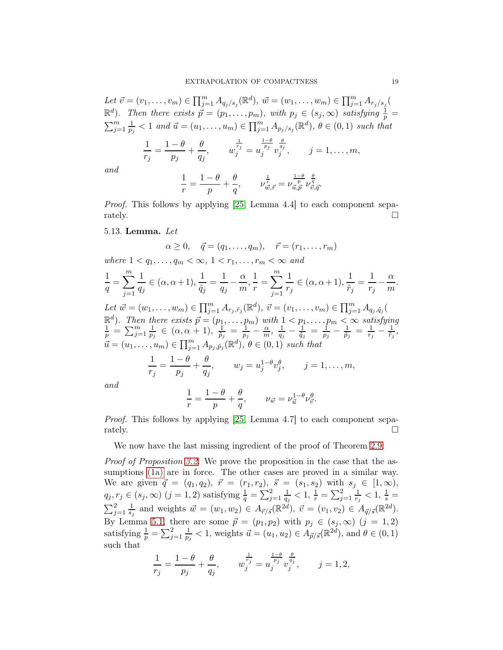Let  $\vec{v} = (v_1, \ldots, v_m) \in \prod_{j=1}^m A_{q_j/s_j}(\mathbb{R}^d), \ \vec{w} = (w_1, \ldots, w_m) \in \prod_{j=1}^m A_{r_j/s_j}$  $\mathbb{R}^d$ ). Then there exists  $\vec{p} = (p_1, \ldots, p_m)$ , with  $p_j \in (s_j, \infty)$  satisfying  $\frac{1}{p} = \sum_{i=1}^m \frac{1}{n} < 1$  and  $\vec{u} = (u_1, \ldots, u_m) \in \prod_{i=1}^m A_{n+k}$ .  $(\mathbb{R}^d)$ ,  $\theta \in (0, 1)$  such that  $\frac{n}{j=1}$   $\frac{1}{p}$  $\frac{1}{p_j} < 1$  and  $\vec{u} = (u_1, \ldots, u_m) \in \prod_{j=1}^m A_{p_j/s_j}(\mathbb{R}^d), \theta \in (0,1)$  such that

$$
\frac{1}{r_j} = \frac{1-\theta}{p_j} + \frac{\theta}{q_j}, \qquad w_j^{\frac{1}{r_j}} = w_j^{\frac{1-\theta}{p_j}} v_j^{\frac{\theta}{q_j}}, \qquad j = 1, \dots, m,
$$

and

$$
\frac{1}{r} = \frac{1-\theta}{p} + \frac{\theta}{q}, \qquad \nu_{\vec{w},\vec{r}}^{\frac{1}{r}} = \nu_{\vec{u},\vec{p}}^{\frac{1-\theta}{p}} \nu_{\vec{v},\vec{q}}^{\frac{\theta}{q}}.
$$

Proof. This follows by applying [\[25,](#page-25-7) Lemma 4.4] to each component separately.  $\Box$ 

5.13. Lemma. Let

$$
\alpha \ge 0, \quad \vec{q} = (q_1, \ldots, q_m), \quad \vec{r} = (r_1, \ldots, r_m)
$$

where  $1 < q_1, \ldots, q_m < \infty, 1 < r_1, \ldots, r_m < \infty$  and

$$
\frac{1}{q} = \sum_{j=1}^{m} \frac{1}{q_j} \in (\alpha, \alpha + 1), \frac{1}{\tilde{q}_j} = \frac{1}{q_j} - \frac{\alpha}{m}, \frac{1}{r} = \sum_{j=1}^{m} \frac{1}{r_j} \in (\alpha, \alpha + 1), \frac{1}{\tilde{r}_j} = \frac{1}{r_j} - \frac{\alpha}{m}.
$$

Let  $\vec{w} = (w_1, \ldots, w_m) \in \prod_{j=1}^m A_{r_j, \tilde{r}_j}(\mathbb{R}^d), \ \vec{v} = (v_1, \ldots, v_m) \in \prod_{j=1}^m A_{q_j, \tilde{q}_j}(\mathbb{R}^d)$  $\mathbb{R}^{d}$ ). Then there exists  $\vec{p} = (p_{1}, \ldots, p_{m})$  with  $1 < p_{1}, \ldots, p_{m} < \infty$  satisfying  $\frac{1}{p} = \sum_{j=1}^{m} \frac{1}{p_{j}} \in (\alpha, \alpha + 1), \frac{1}{\tilde{p}_{j}} = \frac{1}{p_{j}} - \frac{\alpha}{m}, \frac{1}{q_{j}} - \frac{1}{\tilde{q}_{j}} = \frac{1}{p_{j}} - \frac{1}{\tilde{p}_{j}} = \frac{1}{r_{j}} - \frac$  $\frac{1}{p_j} \in (\alpha, \alpha + 1), \frac{1}{\tilde{p}_j}$  $\frac{1}{\tilde{p}_j} \;=\; \frac{1}{p_j} \,-\, \frac{\alpha}{m}, \; \frac{1}{q_j}$  $\frac{1}{q_j} - \frac{1}{\tilde{q}_j} = \frac{1}{p_j} - \frac{1}{\tilde{p}_j} = \frac{1}{r_j} - \frac{1}{\tilde{r}_j},$  $\vec{u} = (u_1, \ldots, u_m) \in \prod_{j=1}^m A_{p_j, \tilde{p}_j}(\mathbb{R}^d), \ \theta \in (0,1) \text{ such that}$ 

$$
\frac{1}{r_j} = \frac{1-\theta}{p_j} + \frac{\theta}{q_j}, \qquad w_j = u_j^{1-\theta}v_j^{\theta}, \qquad j = 1, \dots, m,
$$

and

$$
\frac{1}{r} = \frac{1-\theta}{p} + \frac{\theta}{q}, \qquad \nu_{\vec{w}} = \nu_{\vec{u}}^{1-\theta} \nu_{\vec{v}}^{\theta}.
$$

Proof. This follows by applying [\[25,](#page-25-7) Lemma 4.7] to each component separately.  $\Box$ 

We now have the last missing ingredient of the proof of Theorem [2.9:](#page-4-0)

Proof of Proposition [3.2.](#page-7-0) We prove the proposition in the case that the assumptions [\(1a\)](#page-5-1) are in force. The other cases are proved in a similar way. We are given  $\vec{q} = (q_1, q_2), \ \vec{r} = (r_1, r_2), \ \vec{s} = (s_1, s_2)$  with  $s_j \in [1, \infty),$  $q_j, r_j \in (s_j, \infty)$   $(j = 1, 2)$  satisfying  $\frac{1}{q} = \sum_{j=1}^{2} \frac{1}{q_j}$  $\frac{1}{q_j} < 1, \frac{1}{r} = \sum_{j=1}^2 \frac{1}{r_j}$  $\frac{1}{r_j} < 1, \frac{1}{s} =$  $\sum_{j=1}^{2} \frac{1}{s_j}$  $\frac{1}{s_j}$  and weights  $\vec{w} = (w_1, w_2) \in A_{\vec{r}/\vec{s}}(\mathbb{R}^{2d}), \ \vec{v} = (v_1, v_2) \in A_{\vec{q}/\vec{s}}(\mathbb{R}^{2d}).$ By Lemma [5.1,](#page-10-3) there are some  $\vec{p} = (p_1, p_2)$  with  $p_j \in (s_j, \infty)$   $(j = 1, 2)$ satisfying  $\frac{1}{p} = \sum_{j=1}^{2} \frac{1}{p_j}$  $\frac{1}{p_j} < 1$ , weights  $\vec{u} = (u_1, u_2) \in A_{\vec{p}/\vec{s}}(\mathbb{R}^{2d})$ , and  $\theta \in (0, 1)$ such that

$$
\frac{1}{r_j} = \frac{1-\theta}{p_j} + \frac{\theta}{q_j}, \qquad w_j^{\frac{1}{r_j}} = w_j^{\frac{1-\theta}{p_j}} v_j^{\frac{\theta}{q_j}}, \qquad j = 1, 2,
$$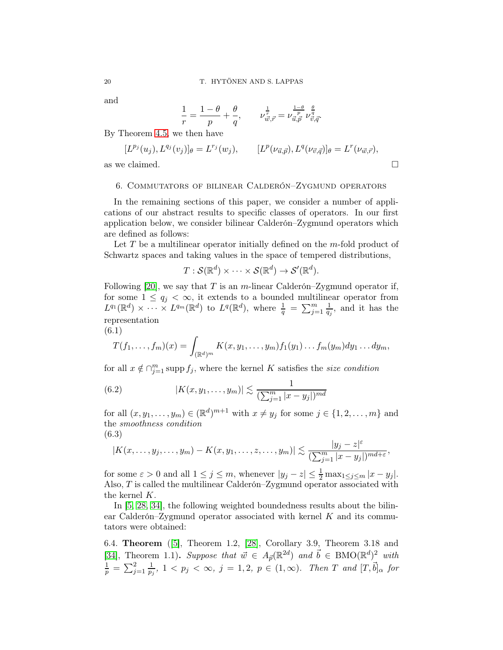and

$$
\frac{1}{r} = \frac{1-\theta}{p} + \frac{\theta}{q}, \qquad \nu^{\frac{1}{r}}_{\vec{w},\vec{r}} = \nu^{\frac{1-\theta}{p}}_{\vec{u},\vec{p}} \nu^{\frac{\theta}{q}}_{\vec{v},\vec{q}}.
$$

By Theorem [4.5,](#page-9-0) we then have

$$
[L^{p_j}(u_j), L^{q_j}(v_j)]_\theta = L^{r_j}(w_j), \qquad [L^p(\nu_{\vec{u},\vec{p}}), L^q(\nu_{\vec{v},\vec{q}})]_\theta = L^r(\nu_{\vec{w},\vec{r}}),
$$
as we claimed.

<span id="page-19-0"></span>

#### 6. Commutators of bilinear Calderón–Zygmund operators

In the remaining sections of this paper, we consider a number of applications of our abstract results to specific classes of operators. In our first application below, we consider bilinear Calderón–Zygmund operators which are defined as follows:

Let T be a multilinear operator initially defined on the  $m$ -fold product of Schwartz spaces and taking values in the space of tempered distributions,

$$
T: \mathcal{S}(\mathbb{R}^d) \times \cdots \times \mathcal{S}(\mathbb{R}^d) \to \mathcal{S}'(\mathbb{R}^d).
$$

Following [\[20\]](#page-25-13), we say that T is an m-linear Calderón–Zygmund operator if, for some  $1 \leq q_j < \infty$ , it extends to a bounded multilinear operator from  $L^{q_1}(\mathbb{R}^d) \times \cdots \times L^{q_m}(\mathbb{R}^d)$  to  $L^q(\mathbb{R}^d)$ , where  $\frac{1}{q} = \sum_{j=1}^m \frac{1}{q_j}$  $\frac{1}{q_j}$ , and it has the representation

$$
(6.1)
$$

<span id="page-19-1"></span>
$$
T(f_1,\ldots,f_m)(x)=\int_{(\mathbb{R}^d)^m}K(x,y_1,\ldots,y_m)f_1(y_1)\ldots f_m(y_m)dy_1\ldots dy_m,
$$

for all  $x \notin \bigcap_{j=1}^m \text{supp } f_j$ , where the kernel K satisfies the size condition

<span id="page-19-2"></span>(6.2) 
$$
|K(x, y_1, \dots, y_m)| \lesssim \frac{1}{(\sum_{j=1}^m |x - y_j|)^{md}}
$$

for all  $(x, y_1, \ldots, y_m) \in (\mathbb{R}^d)^{m+1}$  with  $x \neq y_j$  for some  $j \in \{1, 2, \ldots, m\}$  and the smoothness condition (6.3)

<span id="page-19-3"></span>
$$
|K(x,\ldots,y_j,\ldots,y_m)-K(x,y_1,\ldots,z,\ldots,y_m)|\lesssim \frac{|y_j-z|^{\varepsilon}}{(\sum_{j=1}^m|x-y_j|)^{md+\varepsilon}},
$$

for some  $\varepsilon > 0$  and all  $1 \le j \le m$ , whenever  $|y_j - z| \le \frac{1}{2} \max_{1 \le j \le m} |x - y_j|$ . Also,  $T$  is called the multilinear Calderón–Zygmund operator associated with the kernel K.

In [\[5,](#page-24-7) [28,](#page-25-6) [34\]](#page-25-14), the following weighted boundedness results about the bilinear Calderón–Zygmund operator associated with kernel  $K$  and its commutators were obtained:

<span id="page-19-4"></span>6.4. Theorem ([\[5\]](#page-24-7), Theorem 1.2, [\[28\]](#page-25-6), Corollary 3.9, Theorem 3.18 and [\[34\]](#page-25-14), Theorem 1.1). Suppose that  $\vec{w} \in A_{\vec{p}}(\mathbb{R}^{2d})$  and  $\vec{b} \in \text{BMO}(\mathbb{R}^d)^2$  with  $\frac{1}{p}=\sum_{j=1}^2\frac{1}{p_j}$  $\frac{1}{p_j}$ ,  $1 < p_j < \infty$ ,  $j = 1, 2, p \in (1, \infty)$ . Then T and  $[T, \vec{b}]_{\alpha}$  for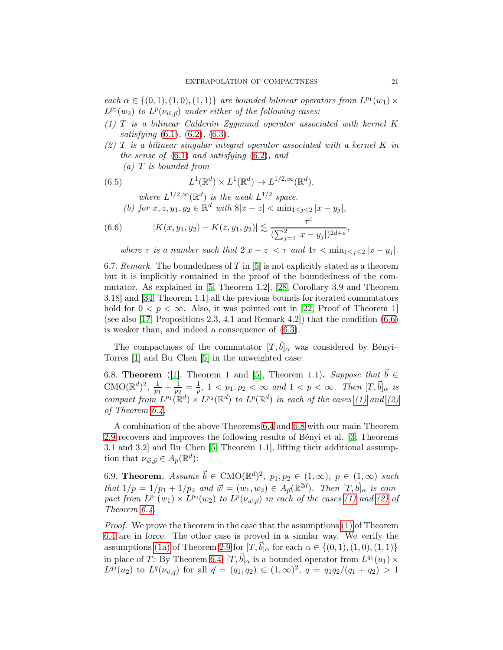each  $\alpha \in \{(0,1), (1,0), (1,1)\}$  are bounded bilinear operators from  $L^{p_1}(w_1) \times$  $L^{p_2}(w_2)$  to  $L^p(\nu_{\vec{w}, \vec{p}})$  under either of the following cases:

- <span id="page-20-2"></span><span id="page-20-1"></span> $(1)$  T is a bilinear Calderón–Zygmund operator associated with kernel K satisfying  $(6.1)$ ,  $(6.2)$ ,  $(6.3)$ .
- $(2)$  T is a bilinear singular integral operator associated with a kernel K in the sense of [\(6.1\)](#page-19-1) and satisfying [\(6.2\)](#page-19-2), and

 $(a)$  T is bounded from

(6.5) 
$$
L^1(\mathbb{R}^d) \times L^1(\mathbb{R}^d) \to L^{1/2,\infty}(\mathbb{R}^d),
$$

where  $L^{1/2,\infty}(\mathbb{R}^d)$  is the weak  $L^{1/2}$  space.

<span id="page-20-0"></span>(b) for 
$$
x, z, y_1, y_2 \in \mathbb{R}^d
$$
 with  $8|x - z| < \min_{1 \le j \le 2} |x - y_j|$ ,

(6.6) 
$$
|K(x,y_1,y_2) - K(z,y_1,y_2)| \lesssim \frac{\tau^{\varepsilon}}{(\sum_{j=1}^2 |x-y_j|)^{2d+\varepsilon}},
$$

where  $\tau$  is a number such that  $2|x-z| < \tau$  and  $4\tau < \min_{1 \leq j \leq 2} |x-y_j|$ .

6.7. Remark. The boundedness of T in [\[5\]](#page-24-7) is not explicitly stated as a theorem but it is implicitly contained in the proof of the boundedness of the commutator. As explained in [\[5,](#page-24-7) Theorem 1.2], [\[28,](#page-25-6) Corollary 3.9 and Theorem 3.18] and [\[34,](#page-25-14) Theorem 1.1] all the previous bounds for iterated commutators hold for  $0 < p < \infty$ . Also, it was pointed out in [\[22,](#page-25-15) Proof of Theorem 1] (see also [\[17,](#page-25-16) Propositions 2.3, 4.1 and Remark 4.2]) that the condition [\(6.6\)](#page-20-0) is weaker than, and indeed a consequence of [\(6.3\)](#page-19-3).

The compactness of the commutator  $[T,b]_{\alpha}$  was considered by Bényi– Torres [\[1\]](#page-24-8) and Bu–Chen [\[5\]](#page-24-7) in the unweighted case:

<span id="page-20-3"></span>6.8. **Theorem** ([\[1\]](#page-24-8), Theorem 1 and [\[5\]](#page-24-7), Theorem 1.1). Suppose that  $\vec{b} \in$  $\text{CMO}(\mathbb{R}^d)^2$ ,  $\frac{1}{n_1}$  $\frac{1}{p_1} + \frac{1}{p_2}$  $\frac{1}{p_2}=\frac{1}{p}$  $\frac{1}{p}$ ,  $1 < p_1, p_2 < \infty$  and  $1 < p < \infty$ . Then  $[T, \vec{b}]_{\alpha}$  is compact from  $L^{p_1}(\mathbb{R}^d) \times L^{p_2}(\mathbb{R}^d)$  to  $L^p(\mathbb{R}^d)$  in each of the cases [\(1\)](#page-20-1) and [\(2\)](#page-20-2) of Theorem [6.4.](#page-19-4)

A combination of the above Theorems [6.4](#page-19-4) and [6.8](#page-20-3) with our main Theorem [2.9](#page-4-0) recovers and improves the following results of Bényi et al. [\[3,](#page-24-9) Theorems 3.1 and 3.2] and Bu–Chen [\[5,](#page-24-7) Theorem 1.1], lifting their additional assumption that  $\nu_{\vec{w}, \vec{p}} \in A_p(\mathbb{R}^d)$ :

6.9. Theorem. Assume  $\vec{b} \in \text{CMO}(\mathbb{R}^d)^2$ ,  $p_1, p_2 \in (1, \infty)$ ,  $p \in (1, \infty)$  such that  $1/p = 1/p_1 + 1/p_2$  and  $\vec{w} = (w_1, w_2) \in A_{\vec{p}}(\mathbb{R}^{2d})$ . Then  $[T, \vec{b}]_{\alpha}$  is compact from  $L^{p_1}(w_1) \times L^{p_2}(w_2)$  to  $L^p(\nu_{\vec{w}, \vec{p}})$  in each of the cases [\(1\)](#page-20-1) and [\(2\)](#page-20-2) of Theorem [6.4.](#page-19-4)

Proof. We prove the theorem in the case that the assumptions [\(1\)](#page-20-1) of Theorem [6.4](#page-19-4) are in force. The other case is proved in a similar way. We verify the assumptions [\(1a\)](#page-5-1) of Theorem [2.9](#page-4-0) for  $[T,\bar{b}]_{\alpha}$  for each  $\alpha \in \{(0,1), (1,0), (1,1)\}\$ in place of T: By Theorem [6.4,](#page-19-4)  $[T, \vec{b}]_{\alpha}$  is a bounded operator from  $L^{q_1}(u_1) \times$  $L^{q_2}(u_2)$  to  $L^q(\nu_{\vec{u},\vec{q}})$  for all  $\vec{q}=(q_1,q_2)\in(1,\infty)^2$ ,  $q=q_1q_2/(q_1+q_2)>1$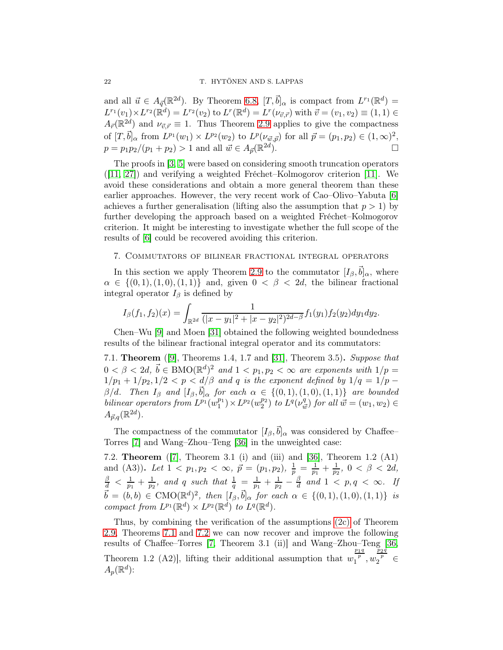and all  $\vec{u} \in A_{\vec{q}}(\mathbb{R}^{2d})$ . By Theorem [6.8,](#page-20-3)  $[T, \vec{b}]_{\alpha}$  is compact from  $L^{r_1}(\mathbb{R}^d)$  =  $L^{r_1}(v_1) \times L^{r_2}(\mathbb{R}^d) = L^{r_2}(v_2)$  to  $L^r(\mathbb{R}^d) = L^r(\nu_{\vec{v},\vec{r}})$  with  $\vec{v} = (v_1, v_2) \equiv (1, 1) \in$  $A_{\vec{r}}(\mathbb{R}^{2d})$  and  $\nu_{\vec{v},\vec{r}} \equiv 1$ . Thus Theorem [2.9](#page-4-0) applies to give the compactness of  $[T, \vec{b}]_{\alpha}$  from  $L^{p_1}(w_1) \times L^{p_2}(w_2)$  to  $L^p(\nu_{\vec{w}, \vec{p}})$  for all  $\vec{p} = (p_1, p_2) \in (1, \infty)^2$ ,  $p = p_1 p_2/(p_1 + p_2) > 1$  and all  $\vec{w} \in A_{\vec{p}}(\mathbb{R}^{2d})$ ).  $\qquad \qquad \Box$ 

The proofs in [\[3,](#page-24-9) [5\]](#page-24-7) were based on considering smooth truncation operators ([\[11,](#page-24-10) [27\]](#page-25-17)) and verifying a weighted Fréchet–Kolmogorov criterion [\[11\]](#page-24-10). We avoid these considerations and obtain a more general theorem than these earlier approaches. However, the very recent work of Cao–Olivo–Yabuta [\[6\]](#page-24-1) achieves a further generalisation (lifting also the assumption that  $p > 1$ ) by further developing the approach based on a weighted Fréchet–Kolmogorov criterion. It might be interesting to investigate whether the full scope of the results of [\[6\]](#page-24-1) could be recovered avoiding this criterion.

### 7. Commutators of bilinear fractional integral operators

In this section we apply Theorem [2.9](#page-4-0) to the commutator  $[I_\beta, \vec{b}]_\alpha$ , where  $\alpha \in \{ (0, 1), (1, 0), (1, 1) \}$  and, given  $0 < \beta < 2d$ , the bilinear fractional integral operator  $I_\beta$  is defined by

$$
I_{\beta}(f_1, f_2)(x) = \int_{\mathbb{R}^{2d}} \frac{1}{(|x - y_1|^2 + |x - y_2|^2)^{2d - \beta}} f_1(y_1) f_2(y_2) dy_1 dy_2.
$$

Chen–Wu [\[9\]](#page-24-11) and Moen [\[31\]](#page-25-11) obtained the following weighted boundedness results of the bilinear fractional integral operator and its commutators:

<span id="page-21-0"></span>7.1. Theorem ([\[9\]](#page-24-11), Theorems 1.4, 1.7 and [\[31\]](#page-25-11), Theorem 3.5). Suppose that  $0 < \beta < 2d, \, \vec{b} \in \text{BMO}(\mathbb{R}^d)^2$  and  $1 < p_1, p_2 < \infty$  are exponents with  $1/p =$  $1/p_1 + 1/p_2$ ,  $1/2 < p < d/\beta$  and q is the exponent defined by  $1/q = 1/p$  –  $\beta/d.$  Then  $I_{\beta}$  and  $[I_{\beta}, \vec{b}]_{\alpha}$  for each  $\alpha \in \{(0,1), (1,0), (1,1)\}$  are bounded bilinear operators from  $L^{p_1}(w_1^{p_1}) \times L^{p_2}(w_2^{p_2})$  to  $L^q(\nu_{\vec{u}}^q)$  $\begin{pmatrix} q \\ \vec{w} \end{pmatrix}$  for all  $\vec{w} = (w_1, w_2) \in$  $A_{\vec{p},q}(\mathbb{R}^{2d}).$ 

The compactness of the commutator  $[I_\beta, \vec{b}]_\alpha$  was considered by Chaffee– Torres [\[7\]](#page-24-12) and Wang–Zhou–Teng [\[36\]](#page-25-18) in the unweighted case:

<span id="page-21-1"></span>7.2. Theorem ([\[7\]](#page-24-12), Theorem 3.1 (i) and (iii) and [\[36\]](#page-25-18), Theorem 1.2 (A1) and (A3)). Let  $1 \leq p_1, p_2 \leq \infty$ ,  $\vec{p} = (p_1, p_2), \frac{1}{p} = \frac{1}{p_1} + \frac{1}{p_2}$ ,  $0 \leq \beta \leq 2d$ ,  $\frac{\beta}{d} < \frac{1}{p_1}$  $\frac{1}{p_1} + \frac{1}{p_2}$  $\frac{1}{p_2}$ , and q such that  $\frac{1}{q} = \frac{1}{p_1}$  $\frac{1}{p_1} + \frac{1}{p_2}$  $\frac{1}{p_2}-\frac{\beta}{d}$  $\frac{\beta}{d}$  and  $1 < p, q < \infty$ . If  $\vec{b} = (b, b) \in \text{CMO}(\mathbb{R}^d)^2$ , then  $[I_\beta, \vec{b}]_\alpha$  for each  $\alpha \in \{(0, 1), (1, 0), (1, 1)\}$  is compact from  $L^{p_1}(\mathbb{R}^d) \times L^{p_2}(\mathbb{R}^d)$  to  $L^q(\mathbb{R}^d)$ .

Thus, by combining the verification of the assumptions [\(2c\)](#page-5-0) of Theorem [2.9,](#page-4-0) Theorems [7.1](#page-21-0) and [7.2](#page-21-1) we can now recover and improve the following results of Chaffee–Torres [\[7,](#page-24-12) Theorem 3.1 (ii)] and Wang–Zhou–Teng [\[36,](#page-25-18) Theorem 1.2 (A2), lifting their additional assumption that  $w$  $\frac{p_1q}{p}$ , w  $\frac{\bar{p}_2 q}{p} \in$  $A_p(\mathbb{R}^d)$ :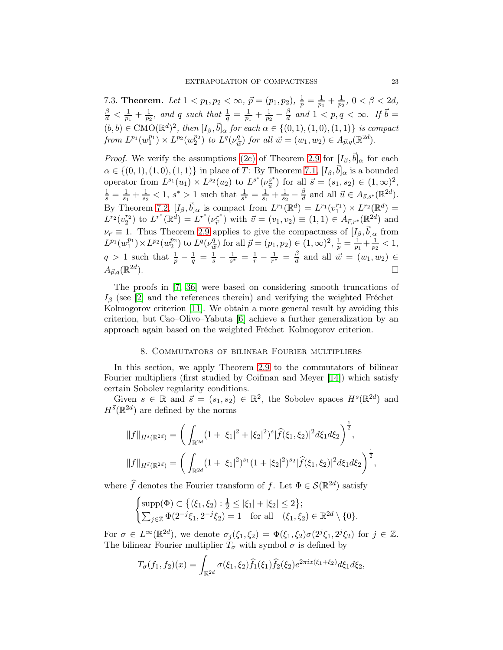7.3. Theorem. Let  $1 < p_1, p_2 < \infty$ ,  $\vec{p} = (p_1, p_2), \frac{1}{p} = \frac{1}{p_1}$  $\frac{1}{p_1} + \frac{1}{p_2}$  $\frac{1}{p_2}$ ,  $0 < \beta < 2d$ ,  $\frac{\beta}{d} < \frac{1}{p_1}$  $\frac{1}{p_1} + \frac{1}{p_2}$  $\frac{1}{p_2}$ , and q such that  $\frac{1}{q} = \frac{1}{p_1}$  $\frac{1}{p_1} + \frac{1}{p_2}$  $rac{1}{p_2}-\frac{\beta}{d}$  $\frac{\beta}{d}$  and  $1 < p, q < \infty$ . If  $\vec{b} =$  $(b, b) \in \text{CMO}(\mathbb{R}^d)^2$ , then  $[I_\beta, \vec{b}]_\alpha$  for each  $\alpha \in \{(0, 1), (1, 0), (1, 1)\}$  is compact from  $L^{p_1}(w_1^{p_1}) \times L^{p_2}(w_2^{p_2})$  to  $L^q(\nu_{\tilde{u}}^q)$  $^{q}_{\vec{w}}$ ) for all  $\vec{w} = (w_1, w_2) \in A_{\vec{p},q}(\mathbb{R}^{2d}).$ 

*Proof.* We verify the assumptions [\(2c\)](#page-5-0) of Theorem [2.9](#page-4-0) for  $[I_\beta, \vec{b}]_\alpha$  for each  $\alpha \in \{(0,1), (1,0), (1,1)\}\$ in place of T: By Theorem [7.1,](#page-21-0)  $[I_\beta, \vec{b}]_\alpha$  is a bounded operator from  $L^{s_1}(u_1) \times L^{s_2}(u_2)$  to  $L^{s^*}(\nu_{\vec{u}}^{s^*})$  $\frac{s^*}{\vec{u}}$  for all  $\vec{s} = (s_1, s_2) \in (1, \infty)^2$ ,  $\frac{1}{s} = \frac{1}{s_1}$  $\frac{1}{s_1} + \frac{1}{s_2}$  $\frac{1}{s_2}$  < 1, s<sup>\*</sup> > 1 such that  $\frac{1}{s^*} = \frac{1}{s_1}$  $\frac{1}{s_1} + \frac{1}{s_2}$  $\frac{1}{s_2}-\frac{\beta}{d}$  $\frac{\beta}{d}$  and all  $\vec{u} \in A_{\vec{s},s^*}(\mathbb{R}^{2d})$ . By Theorem [7.2,](#page-21-1)  $[I_\beta, \vec{b}]_\alpha$  is compact from  $L^{r_1}(\mathbb{R}^d) = L^{r_1}(v_1^{r_1}) \times L^{r_2}(\mathbb{R}^d) =$  $L^{r_2}(v_2^{r_2})$  to  $L^{r^*}(\mathbb{R}^d) = L^{r^*}(\nu_{\vec{r}}^{r^*})$  with  $\vec{v} = (v_1, v_2) \equiv (1, 1) \in A_{\vec{r},r^*}(\mathbb{R}^{2d})$  and  $\nu_{\vec{r}} \equiv 1$ . Thus Theorem [2.9](#page-4-0) applies to give the compactness of  $[I_{\beta}, \vec{b}]_{\alpha}$  from  $L^{p_1}(w_1^{p_1}) \times L^{p_2}(w_2^{p_2})$  to  $L^q(\nu_{\tilde{u}}^q)$  $\frac{q}{w}$ ) for all  $\vec{p} = (p_1, p_2) \in (1, \infty)^2$ ,  $\frac{1}{p} = \frac{1}{p_1}$  $\frac{1}{p_1} + \frac{1}{p_2}$  $\frac{1}{p_2} < 1,$  $q > 1$  such that  $\frac{1}{p} - \frac{1}{q} = \frac{1}{s} - \frac{1}{s^*} = \frac{1}{r} - \frac{1}{r^*} = \frac{\beta}{d}$  $\frac{\beta}{d}$  and all  $\vec{w} = (w_1, w_2) \in$  $A_{\vec{p},q}(\mathbb{R}^{2d}% ,\mathbb{R}^{2d})=\sum_{l=0}^{d-1}\sum_{j=0}^{d-1}\left( \mathbb{R}^{2d}\right) ^{l}A_{l}^{l}(\mathbb{R}^{2d})$ ).  $\qquad \qquad \Box$ 

The proofs in [\[7,](#page-24-12) [36\]](#page-25-18) were based on considering smooth truncations of  $I_\beta$  (see [\[2\]](#page-24-13) and the references therein) and verifying the weighted Fréchet– Kolmogorov criterion [\[11\]](#page-24-10). We obtain a more general result by avoiding this criterion, but Cao–Olivo–Yabuta [\[6\]](#page-24-1) achieve a further generalization by an approach again based on the weighted Fréchet–Kolmogorov criterion.

## 8. Commutators of bilinear Fourier multipliers

<span id="page-22-0"></span>In this section, we apply Theorem [2.9](#page-4-0) to the commutators of bilinear Fourier multipliers (first studied by Coifman and Meyer [\[14\]](#page-24-14)) which satisfy certain Sobolev regularity conditions.

Given  $s \in \mathbb{R}$  and  $\vec{s} = (s_1, s_2) \in \mathbb{R}^2$ , the Sobolev spaces  $H^s(\mathbb{R}^{2d})$  and  $H^{\vec{s}}(\mathbb{R}^{2d})$  are defined by the norms

$$
||f||_{H^{s}(\mathbb{R}^{2d})} = \left(\int_{\mathbb{R}^{2d}} (1+|\xi_1|^2 + |\xi_2|^2)^s |\widehat{f}(\xi_1, \xi_2)|^2 d\xi_1 d\xi_2\right)^{\frac{1}{2}},
$$
  

$$
||f||_{H^{\vec{s}}(\mathbb{R}^{2d})} = \left(\int_{\mathbb{R}^{2d}} (1+|\xi_1|^2)^{s_1} (1+|\xi_2|^2)^{s_2} |\widehat{f}(\xi_1, \xi_2)|^2 d\xi_1 d\xi_2\right)^{\frac{1}{2}},
$$

where  $\widehat{f}$  denotes the Fourier transform of f. Let  $\Phi \in \mathcal{S}(\mathbb{R}^{2d})$  satisfy

$$
\begin{cases}\n\text{supp}(\Phi) \subset \left\{ (\xi_1, \xi_2) : \frac{1}{2} \le |\xi_1| + |\xi_2| \le 2 \right\}; \\
\sum_{j \in \mathbb{Z}} \Phi(2^{-j}\xi_1, 2^{-j}\xi_2) = 1 \quad \text{for all} \quad (\xi_1, \xi_2) \in \mathbb{R}^{2d} \setminus \{0\}.\n\end{cases}
$$

For  $\sigma \in L^{\infty}(\mathbb{R}^{2d})$ , we denote  $\sigma_j(\xi_1, \xi_2) = \Phi(\xi_1, \xi_2)\sigma(2^j\xi_1, 2^j\xi_2)$  for  $j \in \mathbb{Z}$ . The bilinear Fourier multiplier  $T_{\sigma}$  with symbol  $\sigma$  is defined by

$$
T_{\sigma}(f_1, f_2)(x) = \int_{\mathbb{R}^{2d}} \sigma(\xi_1, \xi_2) \widehat{f}_1(\xi_1) \widehat{f}_2(\xi_2) e^{2\pi i x(\xi_1 + \xi_2)} d\xi_1 d\xi_2,
$$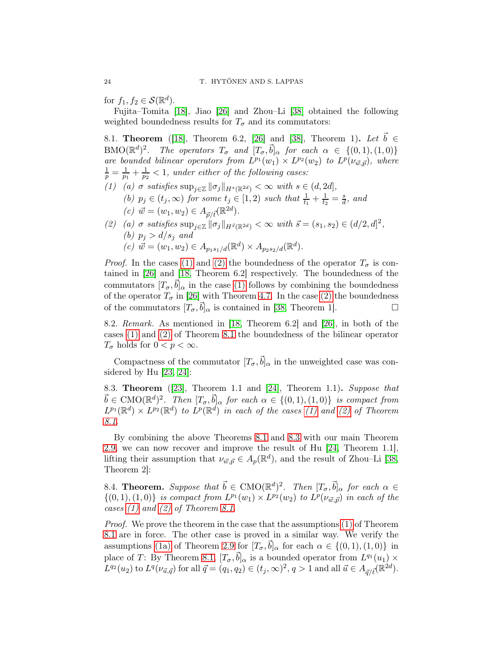for  $f_1, f_2 \in \mathcal{S}(\mathbb{R}^d)$ .

Fujita–Tomita [\[18\]](#page-25-19), Jiao [\[26\]](#page-25-10) and Zhou–Li [\[38\]](#page-26-0) obtained the following weighted boundedness results for  $T_{\sigma}$  and its commutators:

<span id="page-23-2"></span><span id="page-23-0"></span>8.1. **Theorem** ([\[18\]](#page-25-19), Theorem 6.2, [\[26\]](#page-25-10) and [\[38\]](#page-26-0), Theorem 1). Let  $b \in$ BMO( $\mathbb{R}^d$ )<sup>2</sup>. The operators  $T_{\sigma}$  and  $[T_{\sigma}, \vec{b}]_{\alpha}$  for each  $\alpha \in \{(0,1), (1,0)\}$ are bounded bilinear operators from  $L^{p_1}(w_1) \times L^{p_2}(w_2)$  to  $L^p(\nu_{\vec{w}, \vec{p}})$ , where  $\frac{1}{p} = \frac{1}{p_1}$  $\frac{1}{p_1} + \frac{1}{p_2}$  $\frac{1}{p_2}$  < 1, under either of the following cases: (1) (a)  $\sigma$  satisfies  $\sup_{j\in\mathbb{Z}} \|\sigma_j\|_{H^s(\mathbb{R}^{2d})} < \infty$  with  $s \in (d, 2d]$ , (b)  $p_j \in (t_j, \infty)$  for some  $t_j \in [1, 2)$  such that  $\frac{1}{t_1} + \frac{1}{t_2}$  $\frac{1}{t_2} = \frac{s}{d}$  $\frac{s}{d}$ , and (c)  $\vec{w} = (w_1, w_2) \in A_{\vec{p}/\vec{t}}(\mathbb{R}^{2d}).$ 

<span id="page-23-1"></span>(2) (a)  $\sigma$  satisfies  $\sup_{j\in\mathbb{Z}} \|\sigma_j\|_{H^{\vec{s}}(\mathbb{R}^{2d})} < \infty$  with  $\vec{s} = (s_1, s_2) \in (d/2, d]^2$ , (b)  $p_j > d/s_j$  and (c)  $\vec{w} = (w_1, w_2) \in A_{p_1 s_1/d}(\mathbb{R}^d) \times A_{p_2 s_2/d}(\mathbb{R}^d).$ 

*Proof.* In the cases [\(1\)](#page-23-0) and [\(2\)](#page-23-1) the boundedness of the operator  $T_{\sigma}$  is contained in [\[26\]](#page-25-10) and [\[18,](#page-25-19) Theorem 6.2] respectively. The boundedness of the commutators  $[T_{\sigma}, \vec{b}]_{\alpha}$  in the case [\(1\)](#page-23-0) follows by combining the boundedness of the operator  $T_{\sigma}$  in [\[26\]](#page-25-10) with Theorem [4.7.](#page-9-1) In the case [\(2\)](#page-23-1) the boundedness of the commutators  $[T_{\sigma}, \vec{b}]_{\alpha}$  is contained in [\[38,](#page-26-0) Theorem 1].

8.2. Remark. As mentioned in [\[18,](#page-25-19) Theorem 6.2] and [\[26\]](#page-25-10), in both of the cases [\(1\)](#page-23-0) and [\(2\)](#page-23-1) of Theorem [8.1](#page-23-2) the boundedness of the bilinear operator  $T_{\sigma}$  holds for  $0 < p < \infty$ .

Compactness of the commutator  $[T_{\sigma}, \vec{b}]_{\alpha}$  in the unweighted case was considered by Hu  $[23, 24]$  $[23, 24]$ :

<span id="page-23-3"></span>8.3. Theorem ([\[23\]](#page-25-20), Theorem 1.1 and [\[24\]](#page-25-21), Theorem 1.1). Suppose that  $\vec{b} \in \text{CMO}(\mathbb{R}^d)^2$ . Then  $[T_\sigma, \vec{b}]_\alpha$  for each  $\alpha \in \{(0,1), (1,0)\}\$ is compact from  $L^{p_1}(\mathbb{R}^d) \times L^{p_2}(\mathbb{R}^d)$  to  $L^p(\mathbb{R}^d)$  in each of the cases [\(1\)](#page-23-0) and [\(2\)](#page-23-1) of Theorem [8.1.](#page-23-2)

By combining the above Theorems [8.1](#page-23-2) and [8.3](#page-23-3) with our main Theorem [2.9,](#page-4-0) we can now recover and improve the result of Hu [\[24,](#page-25-21) Theorem 1.1], lifting their assumption that  $\nu_{\vec{w}, \vec{p}} \in A_p(\mathbb{R}^d)$ , and the result of Zhou–Li [\[38,](#page-26-0) Theorem 2]:

8.4. Theorem. Suppose that  $\vec{b} \in \text{CMO}(\mathbb{R}^d)^2$ . Then  $[T_{\sigma}, \vec{b}]_{\alpha}$  for each  $\alpha \in$  $\{(0,1),(1,0)\}\;$  is compact from  $L^{p_1}(w_1)\times L^{p_2}(w_2)$  to  $L^p(\nu_{\vec{w},\vec{p}})$  in each of the cases [\(1\)](#page-23-0) and [\(2\)](#page-23-1) of Theorem [8.1.](#page-23-2)

Proof. We prove the theorem in the case that the assumptions [\(1\)](#page-23-0) of Theorem [8.1](#page-23-2) are in force. The other case is proved in a similar way. We verify the assumptions [\(1a\)](#page-5-1) of Theorem [2.9](#page-4-0) for  $[T_{\sigma}, \vec{b}]_{\alpha}$  for each  $\alpha \in \{(0,1), (1,0)\}\$ in place of T: By Theorem [8.1,](#page-23-2)  $[T_{\sigma}, \vec{b}]_{\alpha}$  is a bounded operator from  $L^{q_1}(u_1) \times$  $L^{q_2}(u_2)$  to  $L^q(\nu_{\vec{u},\vec{q}})$  for all  $\vec{q} = (q_1, q_2) \in (t_j, \infty)^2$ ,  $q > 1$  and all  $\vec{u} \in A_{\vec{q}/\vec{t}}(\mathbb{R}^{2d})$ .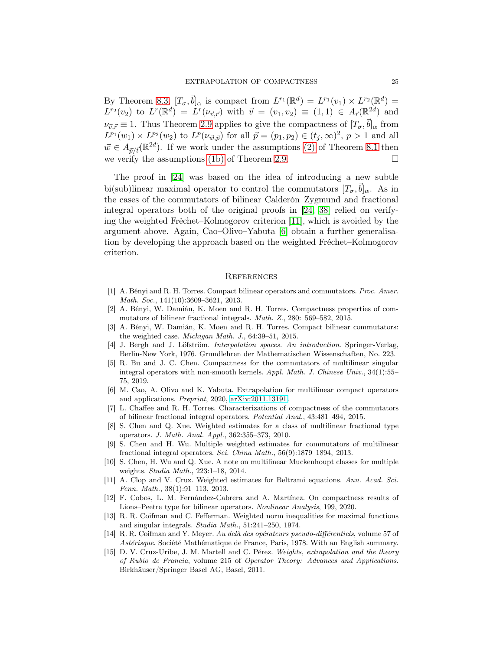By Theorem [8.3,](#page-23-3)  $[T_{\sigma}, \vec{b}]_{\alpha}$  is compact from  $L^{r_1}(\mathbb{R}^d) = L^{r_1}(v_1) \times L^{r_2}(\mathbb{R}^d) =$  $L^{r_2}(v_2)$  to  $L^r(\mathbb{R}^d) = L^r(\nu_{\vec{v},\vec{r}})$  with  $\vec{v} = (v_1, v_2) \equiv (1,1) \in A_{\vec{r}}(\mathbb{R}^{2d})$  and  $\nu_{\vec{v},\vec{r}} \equiv 1$ . Thus Theorem [2.9](#page-4-0) applies to give the compactness of  $[T_{\sigma}, \vec{b}]_{\alpha}$  from  $L^{p_1}(w_1) \times L^{p_2}(w_2)$  to  $L^p(\nu_{\vec{w}, \vec{p}})$  for all  $\vec{p} = (p_1, p_2) \in (t_j, \infty)^2$ ,  $p > 1$  and all  $\vec{w} \in A_{\vec{p}/\vec{t}}(\mathbb{R}^{2d})$ . If we work under the assumptions [\(2\)](#page-23-1) of Theorem [8.1](#page-23-2) then we verify the assumptions [\(1b\)](#page-5-2) of Theorem [2.9.](#page-4-0)

The proof in [\[24\]](#page-25-21) was based on the idea of introducing a new subtle bi(sub)linear maximal operator to control the commutators  $[T_{\sigma}, \vec{b}]_{\alpha}$ . As in the cases of the commutators of bilinear Calderón–Zygmund and fractional integral operators both of the original proofs in [\[24,](#page-25-21) [38\]](#page-26-0) relied on verifying the weighted Fréchet–Kolmogorov criterion [\[11\]](#page-24-10), which is avoided by the argument above. Again, Cao–Olivo–Yabuta [\[6\]](#page-24-1) obtain a further generalisation by developing the approach based on the weighted Fréchet–Kolmogorov criterion.

#### **REFERENCES**

- <span id="page-24-8"></span>[1] A. Bényi and R. H. Torres. Compact bilinear operators and commutators. Proc. Amer. Math. Soc., 141(10):3609–3621, 2013.
- <span id="page-24-13"></span><span id="page-24-9"></span>[2] A. Bényi, W. Damián, K. Moen and R. H. Torres. Compactness properties of commutators of bilinear fractional integrals. Math. Z., 280: 569–582, 2015.
- [3] A. Bényi, W. Damián, K. Moen and R. H. Torres. Compact bilinear commutators: the weighted case. Michigan Math. J., 64:39–51, 2015.
- <span id="page-24-5"></span>[4] J. Bergh and J. Löfström. Interpolation spaces. An introduction. Springer-Verlag, Berlin-New York, 1976. Grundlehren der Mathematischen Wissenschaften, No. 223.
- <span id="page-24-7"></span>[5] R. Bu and J. C. Chen. Compactness for the commutators of multilinear singular integral operators with non-smooth kernels. Appl. Math. J. Chinese Univ., 34(1):55– 75, 2019.
- <span id="page-24-1"></span>[6] M. Cao, A. Olivo and K. Yabuta. Extrapolation for multilinear compact operators and applications. Preprint, 2020, [arXiv:2011.13191.](http://arxiv.org/abs/2011.13191)
- <span id="page-24-12"></span>[7] L. Chaffee and R. H. Torres. Characterizations of compactness of the commutators of bilinear fractional integral operators. Potential Anal., 43:481–494, 2015.
- <span id="page-24-2"></span>[8] S. Chen and Q. Xue. Weighted estimates for a class of multilinear fractional type operators. J. Math. Anal. Appl., 362:355–373, 2010.
- <span id="page-24-11"></span>[9] S. Chen and H. Wu. Multiple weighted estimates for commutators of multilinear fractional integral operators. Sci. China Math., 56(9):1879–1894, 2013.
- <span id="page-24-4"></span>[10] S. Chen, H. Wu and Q. Xue. A note on multilinear Muckenhoupt classes for multiple weights. Studia Math., 223:1–18, 2014.
- <span id="page-24-10"></span>[11] A. Clop and V. Cruz. Weighted estimates for Beltrami equations. Ann. Acad. Sci. Fenn. Math., 38(1):91–113, 2013.
- <span id="page-24-3"></span>[12] F. Cobos, L. M. Fernández-Cabrera and A. Martínez. On compactness results of Lions–Peetre type for bilinear operators. Nonlinear Analysis, 199, 2020.
- <span id="page-24-6"></span>[13] R. R. Coifman and C. Fefferman. Weighted norm inequalities for maximal functions and singular integrals. Studia Math., 51:241–250, 1974.
- <span id="page-24-14"></span>[14] R. R. Coifman and Y. Meyer. Au delà des opérateurs pseudo-différentiels, volume 57 of Astérisque. Société Mathématique de France, Paris, 1978. With an English summary.
- <span id="page-24-0"></span>[15] D. V. Cruz-Uribe, J. M. Martell and C. Pérez. Weights, extrapolation and the theory of Rubio de Francia, volume 215 of Operator Theory: Advances and Applications. Birkhäuser/Springer Basel AG, Basel, 2011.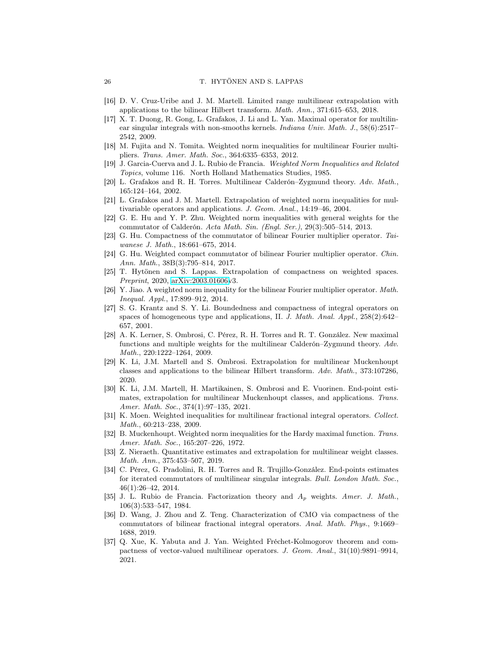- <span id="page-25-16"></span><span id="page-25-2"></span>[16] D. V. Cruz-Uribe and J. M. Martell. Limited range multilinear extrapolation with applications to the bilinear Hilbert transform. Math. Ann., 371:615–653, 2018.
- [17] X. T. Duong, R. Gong, L. Grafakos, J. Li and L. Yan. Maximal operator for multilinear singular integrals with non-smooths kernels. Indiana Univ. Math. J., 58(6):2517– 2542, 2009.
- <span id="page-25-19"></span><span id="page-25-12"></span>[18] M. Fujita and N. Tomita. Weighted norm inequalities for multilinear Fourier multipliers. Trans. Amer. Math. Soc., 364:6335–6353, 2012.
- <span id="page-25-13"></span>[19] J. Garcia-Cuerva and J. L. Rubio de Francia. Weighted Norm Inequalities and Related Topics, volume 116. North Holland Mathematics Studies, 1985.
- <span id="page-25-1"></span>[20] L. Grafakos and R. H. Torres. Multilinear Calderón–Zygmund theory. Adv. Math., 165:124–164, 2002.
- <span id="page-25-15"></span>[21] L. Grafakos and J. M. Martell. Extrapolation of weighted norm inequalities for multivariable operators and applications. J. Geom. Anal., 14:19–46, 2004.
- [22] G. E. Hu and Y. P. Zhu. Weighted norm inequalities with general weights for the commutator of Calderón. Acta Math. Sin. (Engl. Ser.), 29(3):505–514, 2013.
- <span id="page-25-20"></span>[23] G. Hu. Compactness of the commutator of bilinear Fourier multiplier operator. Taiwanese J. Math., 18:661–675, 2014.
- <span id="page-25-21"></span>[24] G. Hu. Weighted compact commutator of bilinear Fourier multiplier operator. Chin. Ann. Math., 38B(3):795–814, 2017.
- <span id="page-25-7"></span>[25] T. Hytönen and S. Lappas. Extrapolation of compactness on weighted spaces. Preprint, 2020, [arXiv:2003.01606v](http://arxiv.org/abs/2003.01606)3.
- <span id="page-25-10"></span>[26] Y. Jiao. A weighted norm inequality for the bilinear Fourier multiplier operator. Math. Inequal. Appl., 17:899–912, 2014.
- <span id="page-25-17"></span>[27] S. G. Krantz and S. Y. Li. Boundedness and compactness of integral operators on spaces of homogeneous type and applications, II. J. Math. Anal. Appl., 258(2):642– 657, 2001.
- <span id="page-25-6"></span>[28] A. K. Lerner, S. Ombrosi, C. Pérez, R. H. Torres and R. T. González. New maximal functions and multiple weights for the multilinear Calderón–Zygmund theory. Adv. Math., 220:1222–1264, 2009.
- <span id="page-25-3"></span>[29] K. Li, J.M. Martell and S. Ombrosi. Extrapolation for multilinear Muckenhoupt classes and applications to the bilinear Hilbert transform. Adv. Math., 373:107286, 2020.
- <span id="page-25-4"></span>[30] K. Li, J.M. Martell, H. Martikainen, S. Ombrosi and E. Vuorinen. End-point estimates, extrapolation for multilinear Muckenhoupt classes, and applications. Trans. Amer. Math. Soc., 374(1):97–135, 2021.
- <span id="page-25-11"></span>[31] K. Moen. Weighted inequalities for multilinear fractional integral operators. Collect. Math., 60:213–238, 2009.
- <span id="page-25-9"></span>[32] B. Muckenhoupt. Weighted norm inequalities for the Hardy maximal function. Trans. Amer. Math. Soc., 165:207–226, 1972.
- <span id="page-25-5"></span>[33] Z. Nieraeth. Quantitative estimates and extrapolation for multilinear weight classes. Math. Ann., 375:453–507, 2019.
- <span id="page-25-14"></span>[34] C. Pérez, G. Pradolini, R. H. Torres and R. Trujillo-González. End-points estimates for iterated commutators of multilinear singular integrals. Bull. London Math. Soc., 46(1):26–42, 2014.
- <span id="page-25-0"></span>[35] J. L. Rubio de Francia. Factorization theory and  $A_p$  weights. Amer. J. Math., 106(3):533–547, 1984.
- <span id="page-25-18"></span>[36] D. Wang, J. Zhou and Z. Teng. Characterization of CMO via compactness of the commutators of bilinear fractional integral operators. Anal. Math. Phys., 9:1669– 1688, 2019.
- <span id="page-25-8"></span>[37] Q. Xue, K. Yabuta and J. Yan. Weighted Fréchet-Kolmogorov theorem and compactness of vector-valued multilinear operators. J. Geom. Anal., 31(10):9891–9914, 2021.